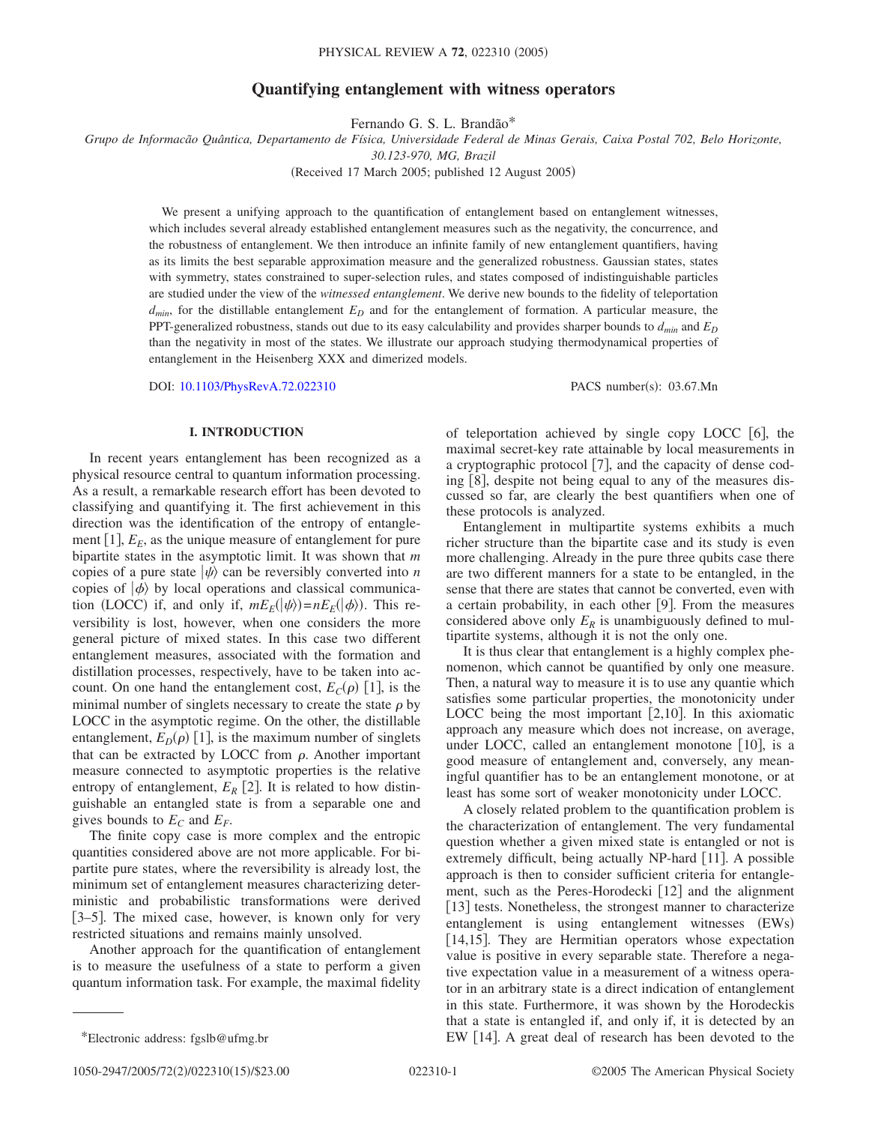## **Quantifying entanglement with witness operators**

Fernando G. S. L. Brandão\*

*Grupo de Informacão Quântica, Departamento de Física, Universidade Federal de Minas Gerais, Caixa Postal 702, Belo Horizonte, 30.123-970, MG, Brazil*

(Received 17 March 2005; published 12 August 2005)

We present a unifying approach to the quantification of entanglement based on entanglement witnesses, which includes several already established entanglement measures such as the negativity, the concurrence, and the robustness of entanglement. We then introduce an infinite family of new entanglement quantifiers, having as its limits the best separable approximation measure and the generalized robustness. Gaussian states, states with symmetry, states constrained to super-selection rules, and states composed of indistinguishable particles are studied under the view of the *witnessed entanglement*. We derive new bounds to the fidelity of teleportation  $d_{min}$ , for the distillable entanglement  $E_D$  and for the entanglement of formation. A particular measure, the PPT-generalized robustness, stands out due to its easy calculability and provides sharper bounds to  $d_{min}$  and  $E_D$ than the negativity in most of the states. We illustrate our approach studying thermodynamical properties of entanglement in the Heisenberg XXX and dimerized models.

DOI: [10.1103/PhysRevA.72.022310](http://dx.doi.org/10.1103/PhysRevA.72.022310)

PACS number(s): 03.67.Mn

#### **I. INTRODUCTION**

In recent years entanglement has been recognized as a physical resource central to quantum information processing. As a result, a remarkable research effort has been devoted to classifying and quantifying it. The first achievement in this direction was the identification of the entropy of entanglement  $[1]$ ,  $E_E$ , as the unique measure of entanglement for pure bipartite states in the asymptotic limit. It was shown that *m* copies of a pure state  $|\psi\rangle$  can be reversibly converted into *n* copies of  $|\phi\rangle$  by local operations and classical communication (LOCC) if, and only if,  $mE_E(|\psi\rangle) = nE_E(|\phi\rangle)$ . This reversibility is lost, however, when one considers the more general picture of mixed states. In this case two different entanglement measures, associated with the formation and distillation processes, respectively, have to be taken into account. On one hand the entanglement cost,  $E_C(\rho)$  [1], is the minimal number of singlets necessary to create the state  $\rho$  by LOCC in the asymptotic regime. On the other, the distillable entanglement,  $E_D(\rho)$  [1], is the maximum number of singlets that can be extracted by LOCC from  $\rho$ . Another important measure connected to asymptotic properties is the relative entropy of entanglement,  $E_R$  [2]. It is related to how distinguishable an entangled state is from a separable one and gives bounds to  $E_C$  and  $E_F$ .

The finite copy case is more complex and the entropic quantities considered above are not more applicable. For bipartite pure states, where the reversibility is already lost, the minimum set of entanglement measures characterizing deterministic and probabilistic transformations were derived [3–5]. The mixed case, however, is known only for very restricted situations and remains mainly unsolved.

Another approach for the quantification of entanglement is to measure the usefulness of a state to perform a given quantum information task. For example, the maximal fidelity of teleportation achieved by single copy LOCC  $[6]$ , the maximal secret-key rate attainable by local measurements in a cryptographic protocol [7], and the capacity of dense coding  $\lceil 8 \rceil$ , despite not being equal to any of the measures discussed so far, are clearly the best quantifiers when one of these protocols is analyzed.

Entanglement in multipartite systems exhibits a much richer structure than the bipartite case and its study is even more challenging. Already in the pure three qubits case there are two different manners for a state to be entangled, in the sense that there are states that cannot be converted, even with a certain probability, in each other  $[9]$ . From the measures considered above only  $E_R$  is unambiguously defined to multipartite systems, although it is not the only one.

It is thus clear that entanglement is a highly complex phenomenon, which cannot be quantified by only one measure. Then, a natural way to measure it is to use any quantie which satisfies some particular properties, the monotonicity under LOCC being the most important  $[2,10]$ . In this axiomatic approach any measure which does not increase, on average, under LOCC, called an entanglement monotone  $[10]$ , is a good measure of entanglement and, conversely, any meaningful quantifier has to be an entanglement monotone, or at least has some sort of weaker monotonicity under LOCC.

A closely related problem to the quantification problem is the characterization of entanglement. The very fundamental question whether a given mixed state is entangled or not is extremely difficult, being actually NP-hard [11]. A possible approach is then to consider sufficient criteria for entanglement, such as the Peres-Horodecki  $\lceil 12 \rceil$  and the alignment [13] tests. Nonetheless, the strongest manner to characterize entanglement is using entanglement witnesses (EWs) [14,15]. They are Hermitian operators whose expectation value is positive in every separable state. Therefore a negative expectation value in a measurement of a witness operator in an arbitrary state is a direct indication of entanglement in this state. Furthermore, it was shown by the Horodeckis that a state is entangled if, and only if, it is detected by an \*Electronic address: fgslb@ufmg.br EW 14. A great deal of research has been devoted to the

1050-2947/2005/72(2)/022310(15)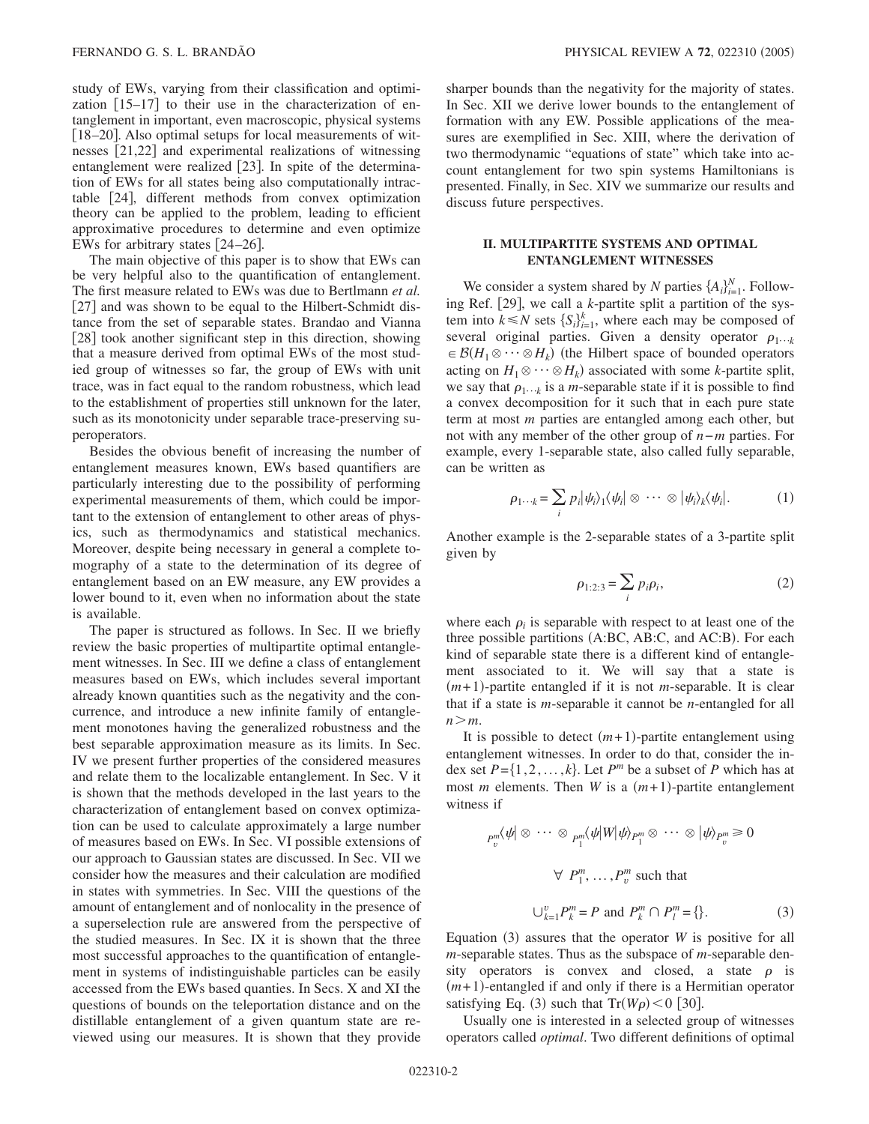study of EWs, varying from their classification and optimization  $\begin{bmatrix} 15-17 \end{bmatrix}$  to their use in the characterization of entanglement in important, even macroscopic, physical systems  $[18–20]$ . Also optimal setups for local measurements of witnesses [21,22] and experimental realizations of witnessing entanglement were realized  $[23]$ . In spite of the determination of EWs for all states being also computationally intractable 24, different methods from convex optimization theory can be applied to the problem, leading to efficient approximative procedures to determine and even optimize EWs for arbitrary states [24-26].

The main objective of this paper is to show that EWs can be very helpful also to the quantification of entanglement. The first measure related to EWs was due to Bertlmann *et al.* [27] and was shown to be equal to the Hilbert-Schmidt distance from the set of separable states. Brandao and Vianna [28] took another significant step in this direction, showing that a measure derived from optimal EWs of the most studied group of witnesses so far, the group of EWs with unit trace, was in fact equal to the random robustness, which lead to the establishment of properties still unknown for the later, such as its monotonicity under separable trace-preserving superoperators.

Besides the obvious benefit of increasing the number of entanglement measures known, EWs based quantifiers are particularly interesting due to the possibility of performing experimental measurements of them, which could be important to the extension of entanglement to other areas of physics, such as thermodynamics and statistical mechanics. Moreover, despite being necessary in general a complete tomography of a state to the determination of its degree of entanglement based on an EW measure, any EW provides a lower bound to it, even when no information about the state is available.

The paper is structured as follows. In Sec. II we briefly review the basic properties of multipartite optimal entanglement witnesses. In Sec. III we define a class of entanglement measures based on EWs, which includes several important already known quantities such as the negativity and the concurrence, and introduce a new infinite family of entanglement monotones having the generalized robustness and the best separable approximation measure as its limits. In Sec. IV we present further properties of the considered measures and relate them to the localizable entanglement. In Sec. V it is shown that the methods developed in the last years to the characterization of entanglement based on convex optimization can be used to calculate approximately a large number of measures based on EWs. In Sec. VI possible extensions of our approach to Gaussian states are discussed. In Sec. VII we consider how the measures and their calculation are modified in states with symmetries. In Sec. VIII the questions of the amount of entanglement and of nonlocality in the presence of a superselection rule are answered from the perspective of the studied measures. In Sec. IX it is shown that the three most successful approaches to the quantification of entanglement in systems of indistinguishable particles can be easily accessed from the EWs based quanties. In Secs. X and XI the questions of bounds on the teleportation distance and on the distillable entanglement of a given quantum state are reviewed using our measures. It is shown that they provide sharper bounds than the negativity for the majority of states. In Sec. XII we derive lower bounds to the entanglement of formation with any EW. Possible applications of the measures are exemplified in Sec. XIII, where the derivation of two thermodynamic "equations of state" which take into account entanglement for two spin systems Hamiltonians is presented. Finally, in Sec. XIV we summarize our results and discuss future perspectives.

# **II. MULTIPARTITE SYSTEMS AND OPTIMAL ENTANGLEMENT WITNESSES**

We consider a system shared by *N* parties  $\{A_i\}_{i=1}^N$ . Following Ref. [29], we call a *k*-partite split a partition of the system into  $k \le N$  sets  $\{S_i\}_{i=1}^k$ , where each may be composed of several original parties. Given a density operator  $\rho_{1\cdots k}$  $\in \mathcal{B}(H_1 \otimes \cdots \otimes H_k)$  (the Hilbert space of bounded operators acting on  $H_1 \otimes \cdots \otimes H_k$ ) associated with some *k*-partite split, we say that  $\rho_1 \dots k$  is a *m*-separable state if it is possible to find a convex decomposition for it such that in each pure state term at most *m* parties are entangled among each other, but not with any member of the other group of *n*−*m* parties. For example, every 1-separable state, also called fully separable, can be written as

$$
\rho_{1\cdots k} = \sum_{i} p_{i} |\psi_{i}\rangle_{1} \langle \psi_{i} | \otimes \cdots \otimes |\psi_{i}\rangle_{k} \langle \psi_{i} |.
$$
 (1)

Another example is the 2-separable states of a 3-partite split given by

$$
\rho_{1:2:3} = \sum_{i} p_i \rho_i, \tag{2}
$$

where each  $\rho_i$  is separable with respect to at least one of the three possible partitions (A:BC, AB:C, and AC:B). For each kind of separable state there is a different kind of entanglement associated to it. We will say that a state is  $(m+1)$ -partite entangled if it is not *m*-separable. It is clear that if a state is *m*-separable it cannot be *n*-entangled for all  $n > m$ .

It is possible to detect  $(m+1)$ -partite entanglement using entanglement witnesses. In order to do that, consider the index set  $P = \{1, 2, ..., k\}$ . Let  $P^m$  be a subset of P which has at most *m* elements. Then *W* is a  $(m+1)$ -partite entanglement witness if

$$
P_v^m(\psi \mid \otimes \cdots \otimes P_1^m(\psi \mid \psi \mid \psi \mid P_1^m \otimes \cdots \otimes \mid \psi \mid P_v^m \ge 0
$$
  

$$
\forall P_1^m, \dots, P_v^m \text{ such that}
$$
  

$$
\bigcup_{k=1}^v P_k^m = P \text{ and } P_k^m \cap P_l^m = \{\}.
$$
 (3)

Equation  $(3)$  assures that the operator *W* is positive for all *m*-separable states. Thus as the subspace of *m*-separable density operators is convex and closed, a state  $\rho$  is  $(m+1)$ -entangled if and only if there is a Hermitian operator satisfying Eq. (3) such that  $Tr(W\rho) < 0$  [30].

Usually one is interested in a selected group of witnesses operators called *optimal*. Two different definitions of optimal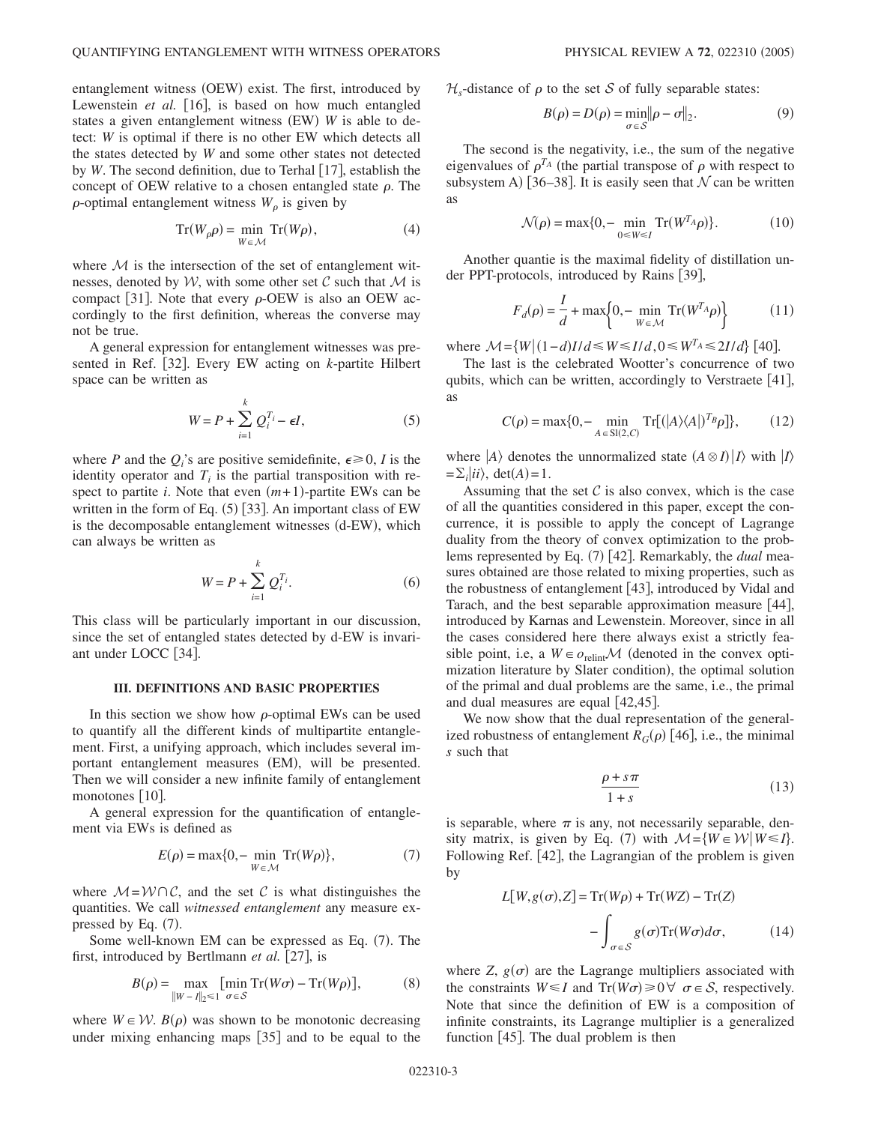entanglement witness (OEW) exist. The first, introduced by Lewenstein *et al.* [16], is based on how much entangled states a given entanglement witness (EW) W is able to detect: *W* is optimal if there is no other EW which detects all the states detected by *W* and some other states not detected by *W*. The second definition, due to Terhal [17], establish the concept of OEW relative to a chosen entangled state  $\rho$ . The  $\rho$ -optimal entanglement witness  $W_{\rho}$  is given by

$$
\operatorname{Tr}(W_{\rho}\rho) = \min_{W \in \mathcal{M}} \operatorname{Tr}(W\rho),\tag{4}
$$

where  $M$  is the intersection of the set of entanglement witnesses, denoted by  $W$ , with some other set  $C$  such that  $M$  is compact [31]. Note that every  $\rho$ -OEW is also an OEW accordingly to the first definition, whereas the converse may not be true.

A general expression for entanglement witnesses was presented in Ref. [32]. Every EW acting on *k*-partite Hilbert space can be written as

$$
W = P + \sum_{i=1}^{k} Q_i^{T_i} - \epsilon I,
$$
\n(5)

where *P* and the  $Q_i$ 's are positive semidefinite,  $\epsilon \ge 0$ , *I* is the identity operator and  $T_i$  is the partial transposition with respect to partite  $i$ . Note that even  $(m+1)$ -partite EWs can be written in the form of Eq.  $(5)$  [33]. An important class of EW is the decomposable entanglement witnesses (d-EW), which can always be written as

$$
W = P + \sum_{i=1}^{k} Q_i^{T_i}.
$$
 (6)

This class will be particularly important in our discussion, since the set of entangled states detected by d-EW is invariant under LOCC [34].

#### **III. DEFINITIONS AND BASIC PROPERTIES**

In this section we show how  $\rho$ -optimal EWs can be used to quantify all the different kinds of multipartite entanglement. First, a unifying approach, which includes several important entanglement measures (EM), will be presented. Then we will consider a new infinite family of entanglement monotones  $[10]$ .

A general expression for the quantification of entanglement via EWs is defined as

$$
E(\rho) = \max\{0, -\min_{W \in \mathcal{M}} \operatorname{Tr}(W\rho)\},\tag{7}
$$

where  $M = W \cap C$ , and the set C is what distinguishes the quantities. We call *witnessed entanglement* any measure expressed by Eq.  $(7)$ .

Some well-known EM can be expressed as Eq. (7). The first, introduced by Bertlmann *et al.* [27], is

$$
B(\rho) = \max_{\|W - I\|_2 \le 1} \left[ \min_{\sigma \in S} \operatorname{Tr}(W\sigma) - \operatorname{Tr}(W\rho) \right],\tag{8}
$$

where  $W \in \mathcal{W}$ .  $B(\rho)$  was shown to be monotonic decreasing under mixing enhancing maps  $[35]$  and to be equal to the  $\mathcal{H}_s$ -distance of  $\rho$  to the set S of fully separable states:

$$
B(\rho) = D(\rho) = \min_{\sigma \in \mathcal{S}} \|\rho - \sigma\|_2.
$$
 (9)

The second is the negativity, i.e., the sum of the negative eigenvalues of  $\rho^{T_A}$  (the partial transpose of  $\rho$  with respect to subsystem A) [36–38]. It is easily seen that  $N$  can be written as

$$
\mathcal{N}(\rho) = \max\{0, -\min_{0 \le W \le I} \text{Tr}(W^{T_A}\rho)\}.
$$
 (10)

Another quantie is the maximal fidelity of distillation under PPT-protocols, introduced by Rains [39],

$$
F_d(\rho) = \frac{I}{d} + \max\left\{0, -\min_{W \in \mathcal{M}} \text{Tr}(W^{T_A}\rho)\right\} \tag{11}
$$

where  $M = \{W | (1 - d)I/d \le W \le I/d, 0 \le W^T A \le 2I/d\}$  [40].

The last is the celebrated Wootter's concurrence of two qubits, which can be written, accordingly to Verstraete  $[41]$ , as

$$
C(\rho) = \max\{0, -\min_{A \in \text{SI}(2, C)} \text{Tr}[(|A\rangle\langle A|)^{T_B}\rho]\},\tag{12}
$$

where  $|A\rangle$  denotes the unnormalized state  $(A \otimes I)|I\rangle$  with  $|I\rangle$  $=\sum_{i} |ii\rangle$ , det(*A*)=1.

Assuming that the set  $C$  is also convex, which is the case of all the quantities considered in this paper, except the concurrence, it is possible to apply the concept of Lagrange duality from the theory of convex optimization to the problems represented by Eq. (7) [42]. Remarkably, the *dual* measures obtained are those related to mixing properties, such as the robustness of entanglement  $[43]$ , introduced by Vidal and Tarach, and the best separable approximation measure  $[44]$ , introduced by Karnas and Lewenstein. Moreover, since in all the cases considered here there always exist a strictly feasible point, i.e, a  $W \in o_{\text{relint}} \mathcal{M}$  (denoted in the convex optimization literature by Slater condition), the optimal solution of the primal and dual problems are the same, i.e., the primal and dual measures are equal  $\lceil 42, 45 \rceil$ .

We now show that the dual representation of the generalized robustness of entanglement  $R_G(\rho)$  [46], i.e., the minimal *s* such that

$$
\frac{\rho + s\pi}{1 + s} \tag{13}
$$

is separable, where  $\pi$  is any, not necessarily separable, density matrix, is given by Eq. (7) with  $M = \{W \in \mathcal{W} | W \leq I\}$ . Following Ref. [42], the Lagrangian of the problem is given by

$$
L[W, g(\sigma), Z] = \text{Tr}(W\rho) + \text{Tr}(WZ) - \text{Tr}(Z)
$$

$$
- \int_{\sigma \in S} g(\sigma) \text{Tr}(W\sigma) d\sigma, \qquad (14)
$$

where  $Z$ ,  $g(\sigma)$  are the Lagrange multipliers associated with the constraints  $W \le I$  and  $Tr(W\sigma) \ge 0 \ \forall \ \sigma \in S$ , respectively. Note that since the definition of EW is a composition of infinite constraints, its Lagrange multiplier is a generalized function  $[45]$ . The dual problem is then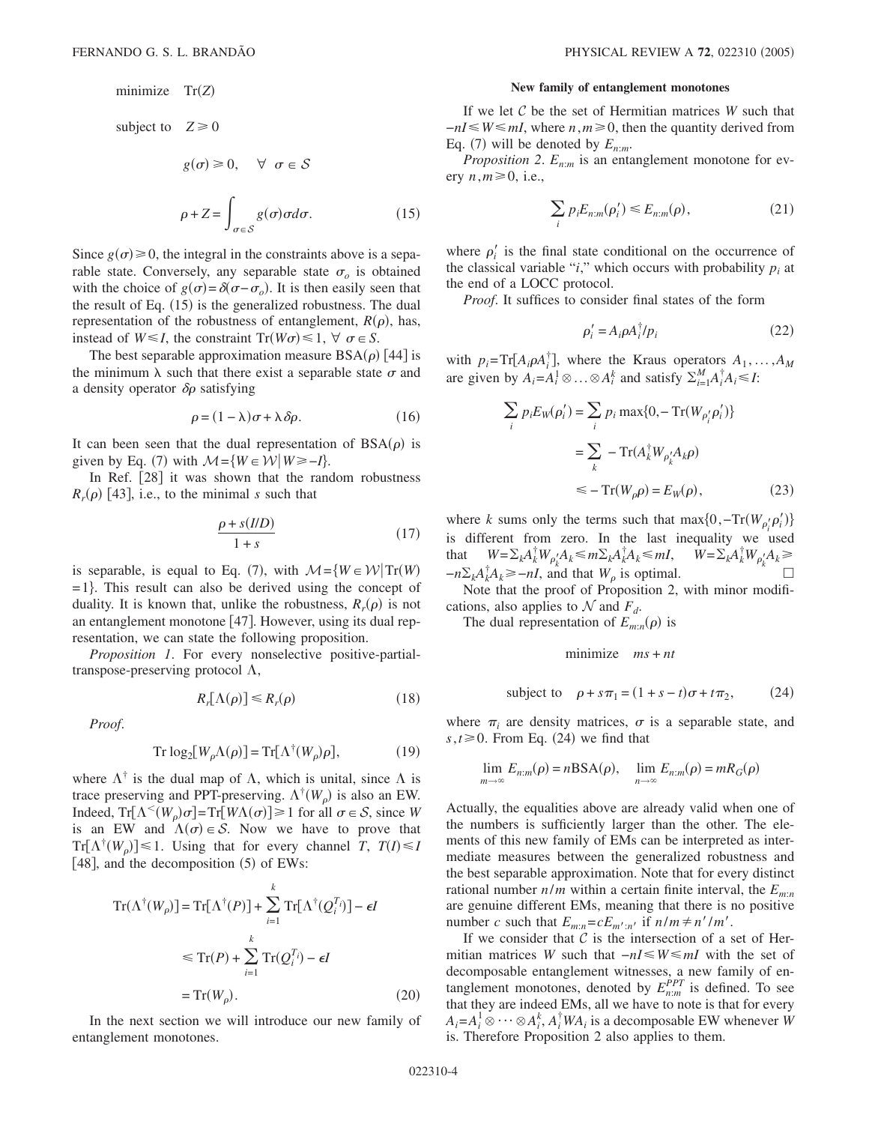# minimize Tr(Z)

subject to 
$$
Z \ge 0
$$
  
\n $g(\sigma) \ge 0, \quad \forall \ \sigma \in S$   
\n $\rho + Z = \int_{\sigma \in S} g(\sigma) \sigma d\sigma.$  (15)

Since  $g(\sigma) \ge 0$ , the integral in the constraints above is a separable state. Conversely, any separable state  $\sigma$ <sub>o</sub> is obtained with the choice of  $g(\sigma) = \delta(\sigma - \sigma_o)$ . It is then easily seen that the result of Eq. (15) is the generalized robustness. The dual representation of the robustness of entanglement,  $R(\rho)$ , has, instead of  $W \le I$ , the constraint  $Tr(W\sigma) \le 1$ ,  $\forall \sigma \in S$ .

The best separable approximation measure  $BSA(\rho)$  [44] is the minimum  $\lambda$  such that there exist a separable state  $\sigma$  and a density operator  $\delta \rho$  satisfying

$$
\rho = (1 - \lambda)\sigma + \lambda \delta \rho. \tag{16}
$$

It can been seen that the dual representation of  $BSA(\rho)$  is given by Eq. (7) with  $M = \{W \in \mathcal{W} | W \ge -I\}$ .

In Ref.  $[28]$  it was shown that the random robustness  $R_r(\rho)$  [43], i.e., to the minimal *s* such that

$$
\frac{\rho + s(IID)}{1+s} \tag{17}
$$

is separable, is equal to Eq. (7), with  $\mathcal{M} = \{W \in \mathcal{W} | \text{Tr}(W) \}$  $=1$ . This result can also be derived using the concept of duality. It is known that, unlike the robustness,  $R_r(\rho)$  is not an entanglement monotone  $[47]$ . However, using its dual representation, we can state the following proposition.

*Proposition 1*. For every nonselective positive-partialtranspose-preserving protocol  $\Lambda$ ,

$$
R_r[\Lambda(\rho)] \le R_r(\rho) \tag{18}
$$

*Proof*.

$$
Tr \log_2[W_\rho \Lambda(\rho)] = Tr[\Lambda^\dagger(W_\rho)\rho],\tag{19}
$$

where  $\Lambda^{\dagger}$  is the dual map of  $\Lambda$ , which is unital, since  $\Lambda$  is trace preserving and PPT-preserving.  $\Lambda^{\dagger}(W_{\rho})$  is also an EW. Indeed,  $Tr[\Lambda^<(W_\rho)\sigma] = Tr[W\Lambda(\sigma)] \ge 1$  for all  $\sigma \in S$ , since *W* is an EW and  $\Lambda(\sigma) \in \mathcal{S}$ . Now we have to prove that  $Tr[\Lambda^{\dagger}(W_{\rho})] \leq 1$ . Using that for every channel *T*,  $T(I) \leq I$ [48], and the decomposition (5) of EWs:

$$
\operatorname{Tr}(\Lambda^{\dagger}(W_{\rho})] = \operatorname{Tr}[\Lambda^{\dagger}(P)] + \sum_{i=1}^{k} \operatorname{Tr}[\Lambda^{\dagger}(Q_{i}^{T_{i}})] - \epsilon I
$$
  
\n
$$
\leq \operatorname{Tr}(P) + \sum_{i=1}^{k} \operatorname{Tr}(Q_{i}^{T_{i}}) - \epsilon I
$$
  
\n
$$
= \operatorname{Tr}(W_{\rho}). \tag{20}
$$

In the next section we will introduce our new family of entanglement monotones.

### **New family of entanglement monotones**

If we let C be the set of Hermitian matrices *W* such that  $-nI \leq W \leq mL$ , where *n*,  $m \geq 0$ , then the quantity derived from Eq. (7) will be denoted by  $E_{n:m}$ .

*Proposition 2.*  $E_{n:m}$  is an entanglement monotone for every  $n, m \ge 0$ , i.e.,

$$
\sum_{i} p_i E_{n:m}(\rho'_i) \le E_{n:m}(\rho),\tag{21}
$$

where  $\rho_i'$  is the final state conditional on the occurrence of the classical variable " $i$ ," which occurs with probability  $p_i$  at the end of a LOCC protocol.

*Proof*. It suffices to consider final states of the form

$$
\rho_i' = A_i \rho A_i^{\dagger} / p_i \tag{22}
$$

with  $p_i = \text{Tr}[A_i \rho A_i^{\dagger}]$ , where the Kraus operators  $A_1, \ldots, A_M$ are given by  $A_i = A_i^1 \otimes \ldots \otimes A_i^k$  and satisfy  $\sum_{i=1}^M A_i^{\dagger} A_i \le I$ :

$$
\sum_{i} p_{i} E_{W}(\rho_{i}') = \sum_{i} p_{i} \max\{0, -\operatorname{Tr}(W_{\rho_{i}'}\rho_{i}')\}
$$

$$
= \sum_{k} -\operatorname{Tr}(A_{k}^{\dagger} W_{\rho_{k}'} A_{k}\rho)
$$

$$
\leq -\operatorname{Tr}(W_{\rho}\rho) = E_{W}(\rho), \tag{23}
$$

where *k* sums only the terms such that  $\max\{0, -\text{Tr}(W_{\rho_i'}\rho_i')\}$ is different from zero. In the last inequality we used that  $W = \sum_k A_k^{\dagger} W_{\rho_k'} A_k \le m \sum_k A_k^{\dagger} A_k \le mI, \qquad W = \sum_k A_k^{\dagger} W_{\rho_k'} A_k \ge mI$  $-n\Sigma_k A_k^{\dagger} A_k \geq -nI$ , and that  $W_\rho$  is optimal.  $\Box$ 

Note that the proof of Proposition 2, with minor modifications, also applies to  $\mathcal N$  and  $F_d$ .

The dual representation of  $E_{m:n}(\rho)$  is

minimize *ms* + *nt*

subject to 
$$
\rho + s\pi_1 = (1 + s - t)\sigma + t\pi_2,
$$
 (24)

where  $\pi_i$  are density matrices,  $\sigma$  is a separable state, and  $s, t \ge 0$ . From Eq. (24) we find that

$$
\lim_{m \to \infty} E_{n:m}(\rho) = n\text{BSA}(\rho), \quad \lim_{n \to \infty} E_{n:m}(\rho) = mR_G(\rho)
$$

Actually, the equalities above are already valid when one of the numbers is sufficiently larger than the other. The elements of this new family of EMs can be interpreted as intermediate measures between the generalized robustness and the best separable approximation. Note that for every distinct rational number  $n/m$  within a certain finite interval, the  $E_{m:n}$ are genuine different EMs, meaning that there is no positive number *c* such that  $E_{m:n}=cE_{m':n'}$  if  $n/m \neq n'/m'$ .

If we consider that  $C$  is the intersection of a set of Hermitian matrices *W* such that  $-nI \leq W \leq mI$  with the set of decomposable entanglement witnesses, a new family of entanglement monotones, denoted by  $E_{n,m}^{PPT}$  is defined. To see that they are indeed EMs, all we have to note is that for every  $A_i = A_i^1 \otimes \cdots \otimes A_i^k$ ,  $A_i^{\dagger}WA_i$  is a decomposable EW whenever *W* is. Therefore Proposition 2 also applies to them.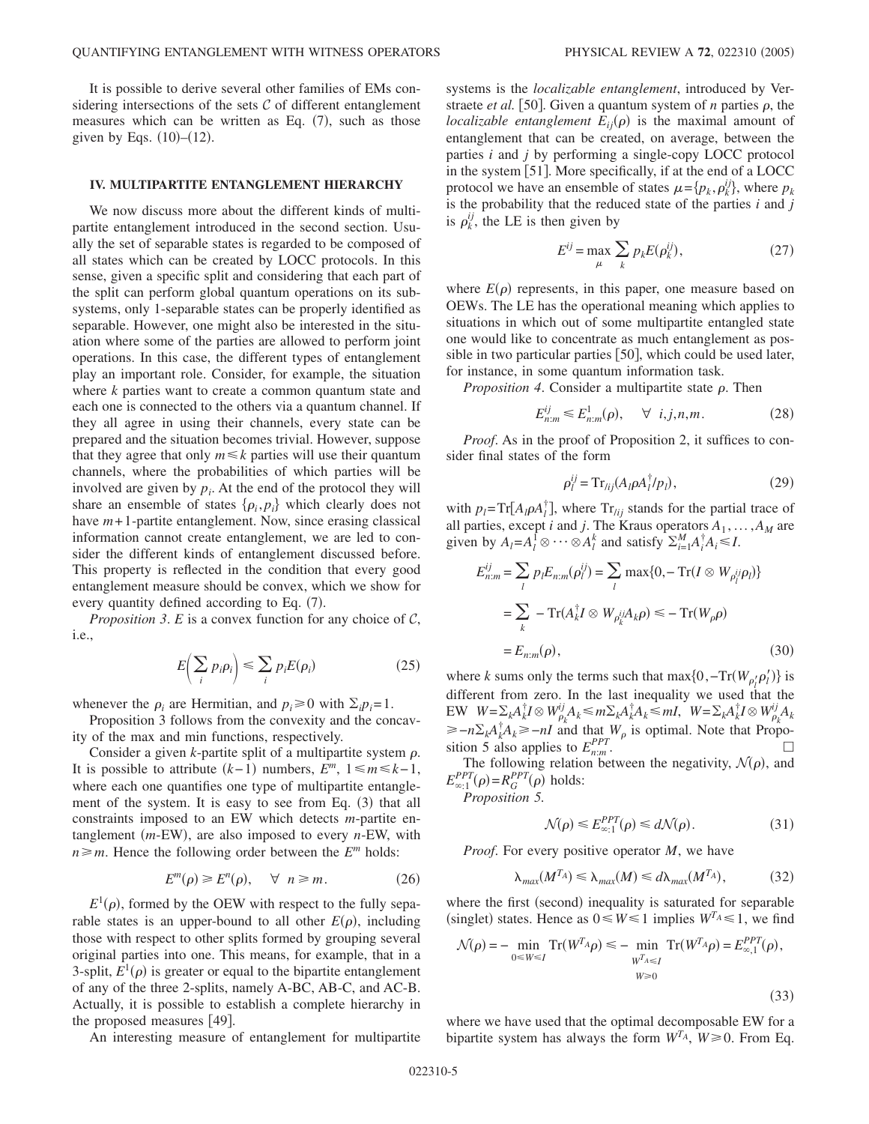It is possible to derive several other families of EMs considering intersections of the sets  $\mathcal C$  of different entanglement measures which can be written as Eq.  $(7)$ , such as those given by Eqs.  $(10)–(12)$ .

### **IV. MULTIPARTITE ENTANGLEMENT HIERARCHY**

We now discuss more about the different kinds of multipartite entanglement introduced in the second section. Usually the set of separable states is regarded to be composed of all states which can be created by LOCC protocols. In this sense, given a specific split and considering that each part of the split can perform global quantum operations on its subsystems, only 1-separable states can be properly identified as separable. However, one might also be interested in the situation where some of the parties are allowed to perform joint operations. In this case, the different types of entanglement play an important role. Consider, for example, the situation where *k* parties want to create a common quantum state and each one is connected to the others via a quantum channel. If they all agree in using their channels, every state can be prepared and the situation becomes trivial. However, suppose that they agree that only  $m \leq k$  parties will use their quantum channels, where the probabilities of which parties will be involved are given by  $p_i$ . At the end of the protocol they will share an ensemble of states  $\{p_i, p_j\}$  which clearly does not have *m*+1-partite entanglement. Now, since erasing classical information cannot create entanglement, we are led to consider the different kinds of entanglement discussed before. This property is reflected in the condition that every good entanglement measure should be convex, which we show for every quantity defined according to Eq. (7).

*Proposition 3. E* is a convex function for any choice of  $C$ , i.e.,

$$
E\left(\sum_{i} p_{i} \rho_{i}\right) \leq \sum_{i} p_{i} E(\rho_{i})
$$
\n(25)

whenever the  $\rho_i$  are Hermitian, and  $p_i \ge 0$  with  $\Sigma_i p_i = 1$ .

Proposition 3 follows from the convexity and the concavity of the max and min functions, respectively.

Consider a given  $k$ -partite split of a multipartite system  $\rho$ . It is possible to attribute  $(k-1)$  numbers,  $E^m$ ,  $1 \le m \le k-1$ , where each one quantifies one type of multipartite entanglement of the system. It is easy to see from Eq. (3) that all constraints imposed to an EW which detects *m*-partite entanglement (*m*-EW), are also imposed to every *n*-EW, with  $n \ge m$ . Hence the following order between the *E<sup>m</sup>* holds:

$$
E^m(\rho) \ge E^n(\rho), \quad \forall \ \ n \ge m. \tag{26}
$$

 $E^1(\rho)$ , formed by the OEW with respect to the fully separable states is an upper-bound to all other  $E(\rho)$ , including those with respect to other splits formed by grouping several original parties into one. This means, for example, that in a 3-split,  $E^1(\rho)$  is greater or equal to the bipartite entanglement of any of the three 2-splits, namely A-BC, AB-C, and AC-B. Actually, it is possible to establish a complete hierarchy in the proposed measures  $[49]$ .

An interesting measure of entanglement for multipartite

systems is the *localizable entanglement*, introduced by Verstraete *et al.* [50]. Given a quantum system of *n* parties  $\rho$ , the *localizable entanglement*  $E_{ij}(\rho)$  is the maximal amount of entanglement that can be created, on average, between the parties *i* and *j* by performing a single-copy LOCC protocol in the system  $[51]$ . More specifically, if at the end of a LOCC protocol we have an ensemble of states  $\mu = \{p_k, \rho_k^{ij}\},$  where  $p_k$ is the probability that the reduced state of the parties *i* and *j* is  $\rho_k^{ij}$ , the LE is then given by

$$
E^{ij} = \max_{\mu} \sum_{k} p_k E(\rho_k^{ij}), \qquad (27)
$$

where  $E(\rho)$  represents, in this paper, one measure based on OEWs. The LE has the operational meaning which applies to situations in which out of some multipartite entangled state one would like to concentrate as much entanglement as possible in two particular parties  $[50]$ , which could be used later, for instance, in some quantum information task.

*Proposition 4.* Consider a multipartite state  $\rho$ . Then

$$
E_{n:m}^{ij} \leq E_{n:m}^1(\rho), \quad \forall \quad i, j, n, m. \tag{28}
$$

*Proof.* As in the proof of Proposition 2, it suffices to consider final states of the form

$$
\rho_l^{ij} = \mathrm{Tr}_{lij}(A_l \rho A_l^{\dagger} / p_l),\tag{29}
$$

with  $p_l = \text{Tr}[A_l \rho A_l^{\dagger}]$ , where  $\text{Tr}_{lij}$  stands for the partial trace of all parties, except *i* and *j*. The Kraus operators  $A_1, \ldots, A_M$  are given by  $A_l = A_l^{\dagger} \otimes \cdots \otimes A_l^k$  and satisfy  $\sum_{i=1}^M A_i^{\dagger} A_i \leq I$ .

$$
E_{n:m}^{ij} = \sum_{l} p_l E_{n:m}(\rho_l^{ij}) = \sum_{l} \max\{0, -\operatorname{Tr}(I \otimes W_{\rho_l^{ij}} \rho_l)\}
$$
  
= 
$$
\sum_{k} -\operatorname{Tr}(A_k^{\dagger} I \otimes W_{\rho_k^{ij}} A_k \rho) \le -\operatorname{Tr}(W_{\rho} \rho)
$$
  
= 
$$
E_{n:m}(\rho), \qquad (30)
$$

where *k* sums only the terms such that  $\max\{0, -\text{Tr}(W_{\rho'_l} \rho'_l)\}\$  is different from zero. In the last inequality we used that the  $E$ **W**  $W = \sum_k A_k^{\dagger} I \otimes W_{\rho_k}^{ij} A_k \le m \sum_k A_k^{\dagger} A_k \le mI$ ,  $W = \sum_k A_k^{\dagger} I \otimes W_{\rho_k}^{ij} A_k$  $\ge -n \sum_{k} A_{k}^{\dagger} A_{k} \ge -nI$  and that  $W_{\rho}$  is optimal. Note that Proposition 5 also applies to  $E_{n,m}^{PPT}$ .

The following relation between the negativity,  $\mathcal{N}(\rho)$ , and  $E_{\infty;1}^{PPT}(\rho) = R_G^{PPT}(\rho)$  holds:

*Proposition 5.*

$$
\mathcal{N}(\rho) \le E_{\infty;1}^{PPT}(\rho) \le d\mathcal{N}(\rho). \tag{31}
$$

*Proof*. For every positive operator *M*, we have

$$
\lambda_{max}(M^{T_A}) \le \lambda_{max}(M) \le d\lambda_{max}(M^{T_A}),\tag{32}
$$

where the first (second) inequality is saturated for separable (singlet) states. Hence as  $0 \le W \le 1$  implies  $W^{T_A} \le 1$ , we find

$$
\mathcal{N}(\rho) = -\min_{0 \le W \le I} \operatorname{Tr}(W^{T_A}\rho) \le -\min_{\substack{W^{T_A} \le I \\ W \ge 0}} \operatorname{Tr}(W^{T_A}\rho) = E_{\infty,1}^{PPT}(\rho),\tag{33}
$$

where we have used that the optimal decomposable EW for a bipartite system has always the form  $W^{T_A}$ ,  $W \ge 0$ . From Eq.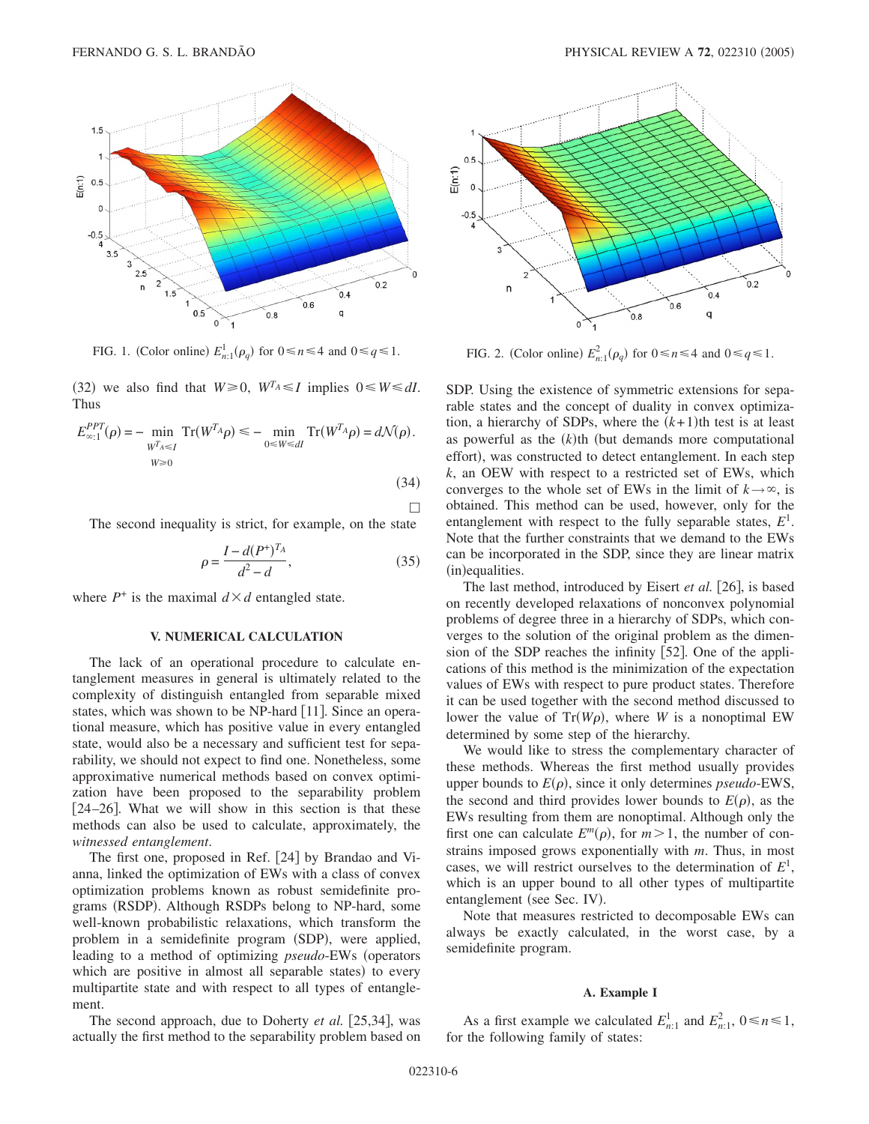

FIG. 1. (Color online)  $E_{n;1}^1(\rho_q)$  for  $0 \le n \le 4$  and  $0 \le q \le 1$ . FIG. 2. (Color online)

(32) we also find that  $W \ge 0$ ,  $W^{T_A} \le I$  implies  $0 \le W \le dI$ . Thus

$$
E_{\infty;1}^{PPT}(\rho) = -\min_{\substack{W^{T}A \leq I \\ W \geq 0}} \operatorname{Tr}(W^{T_A}\rho) \leq -\min_{0 \leq W \leq dI} \operatorname{Tr}(W^{T_A}\rho) = d\mathcal{N}(\rho).
$$
\n(34)

 $\Box$ 

The second inequality is strict, for example, on the state

$$
\rho = \frac{I - d(P^+)^{T_A}}{d^2 - d},\tag{35}
$$

where  $P^+$  is the maximal  $d \times d$  entangled state.

#### **V. NUMERICAL CALCULATION**

The lack of an operational procedure to calculate entanglement measures in general is ultimately related to the complexity of distinguish entangled from separable mixed states, which was shown to be NP-hard  $[11]$ . Since an operational measure, which has positive value in every entangled state, would also be a necessary and sufficient test for separability, we should not expect to find one. Nonetheless, some approximative numerical methods based on convex optimization have been proposed to the separability problem  $[24–26]$ . What we will show in this section is that these methods can also be used to calculate, approximately, the *witnessed entanglement*.

The first one, proposed in Ref. [24] by Brandao and Vianna, linked the optimization of EWs with a class of convex optimization problems known as robust semidefinite programs (RSDP). Although RSDPs belong to NP-hard, some well-known probabilistic relaxations, which transform the problem in a semidefinite program (SDP), were applied, leading to a method of optimizing *pseudo*-EWs (operators which are positive in almost all separable states) to every multipartite state and with respect to all types of entanglement.

The second approach, due to Doherty *et al.* [25,34], was actually the first method to the separability problem based on



 $E_{n:1}^2(\rho_q)$  for  $0 \le n \le 4$  and  $0 \le q \le 1$ .

SDP. Using the existence of symmetric extensions for separable states and the concept of duality in convex optimization, a hierarchy of SDPs, where the  $(k+1)$ th test is at least as powerful as the  $(k)$ <sup>th</sup> (but demands more computational effort), was constructed to detect entanglement. In each step *k*, an OEW with respect to a restricted set of EWs, which converges to the whole set of EWs in the limit of  $k \rightarrow \infty$ , is obtained. This method can be used, however, only for the entanglement with respect to the fully separable states,  $E^1$ . Note that the further constraints that we demand to the EWs can be incorporated in the SDP, since they are linear matrix (in)equalities.

The last method, introduced by Eisert *et al.* [26], is based on recently developed relaxations of nonconvex polynomial problems of degree three in a hierarchy of SDPs, which converges to the solution of the original problem as the dimension of the SDP reaches the infinity  $[52]$ . One of the applications of this method is the minimization of the expectation values of EWs with respect to pure product states. Therefore it can be used together with the second method discussed to lower the value of  $Tr(W\rho)$ , where *W* is a nonoptimal EW determined by some step of the hierarchy.

We would like to stress the complementary character of these methods. Whereas the first method usually provides upper bounds to  $E(\rho)$ , since it only determines *pseudo*-EWS, the second and third provides lower bounds to  $E(\rho)$ , as the EWs resulting from them are nonoptimal. Although only the first one can calculate  $E^m(\rho)$ , for  $m > 1$ , the number of constrains imposed grows exponentially with *m*. Thus, in most cases, we will restrict ourselves to the determination of *E*<sup>1</sup> , which is an upper bound to all other types of multipartite entanglement (see Sec. IV).

Note that measures restricted to decomposable EWs can always be exactly calculated, in the worst case, by a semidefinite program.

### **A. Example I**

As a first example we calculated  $E_{n:1}^1$  and  $E_{n:1}^2$ ,  $0 \le n \le 1$ , for the following family of states: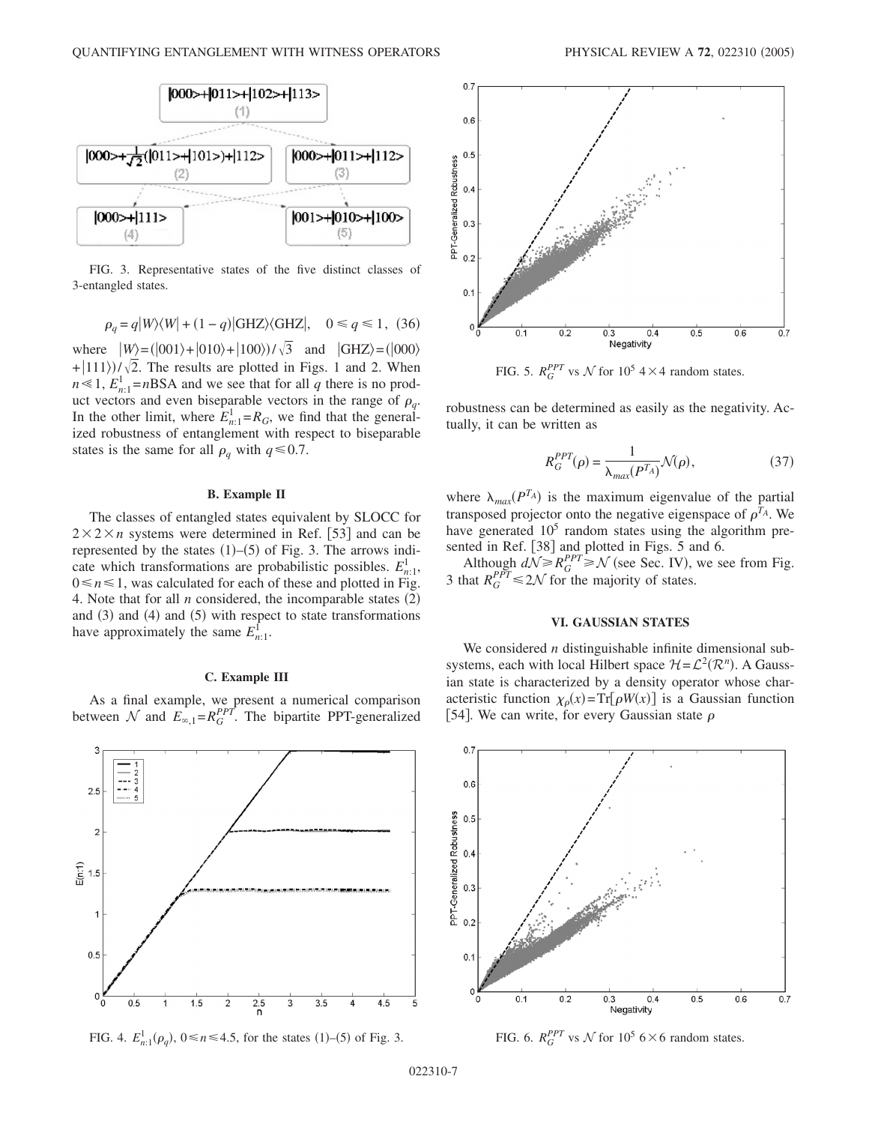

FIG. 3. Representative states of the five distinct classes of 3-entangled states.

$$
\rho_q = q|W\rangle\langle W| + (1 - q)|\text{GHZ}\rangle\langle\text{GHZ}|, \quad 0 \le q \le 1, \tag{36}
$$

where  $|W\rangle = (|001\rangle + |010\rangle + |100\rangle)/\sqrt{3}$  and  $|GHZ\rangle = (|000\rangle)$  $+(111)\sqrt{\sqrt{2}}$ . The results are plotted in Figs. 1 and 2. When  $n \le 1$ ,  $E_{n:1}^1 = nBSA$  and we see that for all *q* there is no product vectors and even biseparable vectors in the range of  $\rho_q$ . In the other limit, where  $E_{n:1}^1 = R_G$ , we find that the generalized robustness of entanglement with respect to biseparable states is the same for all  $\rho_q$  with  $q \le 0.7$ .

### **B. Example II**

The classes of entangled states equivalent by SLOCC for  $2 \times 2 \times n$  systems were determined in Ref. [53] and can be represented by the states  $(1)$ – $(5)$  of Fig. 3. The arrows indicate which transformations are probabilistic possibles.  $E_{n:1}^1$ ,  $0 \le n \le 1$ , was calculated for each of these and plotted in Fig. 4. Note that for all  $n$  considered, the incomparable states  $(2)$ and (3) and (4) and (5) with respect to state transformations have approximately the same  $E_{n:1}^{\bar{1}}$ .

## **C. Example III**

As a final example, we present a numerical comparison between  $\mathcal N$  and  $E_{\infty,1} = R_G^{PPT}$ . The bipartite PPT-generalized



FIG. 4.  $E_{n;1}^1(\rho_q)$ ,  $0 \le n \le 4.5$ , for the states (1)–(5) of Fig. 3.



FIG. 5.  $R_G^{PPT}$  vs  $\mathcal N$  for 10<sup>5</sup> 4 × 4 random states.

robustness can be determined as easily as the negativity. Actually, it can be written as

$$
R_G^{PPT}(\rho) = \frac{1}{\lambda_{max}(P^{T_A})} \mathcal{N}(\rho),\tag{37}
$$

where  $\lambda_{max}(P^{T_A})$  is the maximum eigenvalue of the partial transposed projector onto the negative eigenspace of  $\rho^{T_A}$ . We have generated  $10<sup>5</sup>$  random states using the algorithm presented in Ref. [38] and plotted in Figs. 5 and 6.

Although  $dN \geq R_G^{PPT} \geq N$  (see Sec. IV), we see from Fig. 3 that  $R_G^{PPT} \le 2\mathcal{N}$  for the majority of states.

### **VI. GAUSSIAN STATES**

We considered *n* distinguishable infinite dimensional subsystems, each with local Hilbert space  $\mathcal{H} = \mathcal{L}^2(\mathcal{R}^n)$ . A Gaussian state is characterized by a density operator whose characteristic function  $\chi_{\rho}(x) = Tr[\rho W(x)]$  is a Gaussian function [54]. We can write, for every Gaussian state  $\rho$ 

![](_page_6_Figure_20.jpeg)

FIG. 6.  $R_G^{PPT}$  vs  $\mathcal N$  for  $10^5$  6  $\times$  6 random states.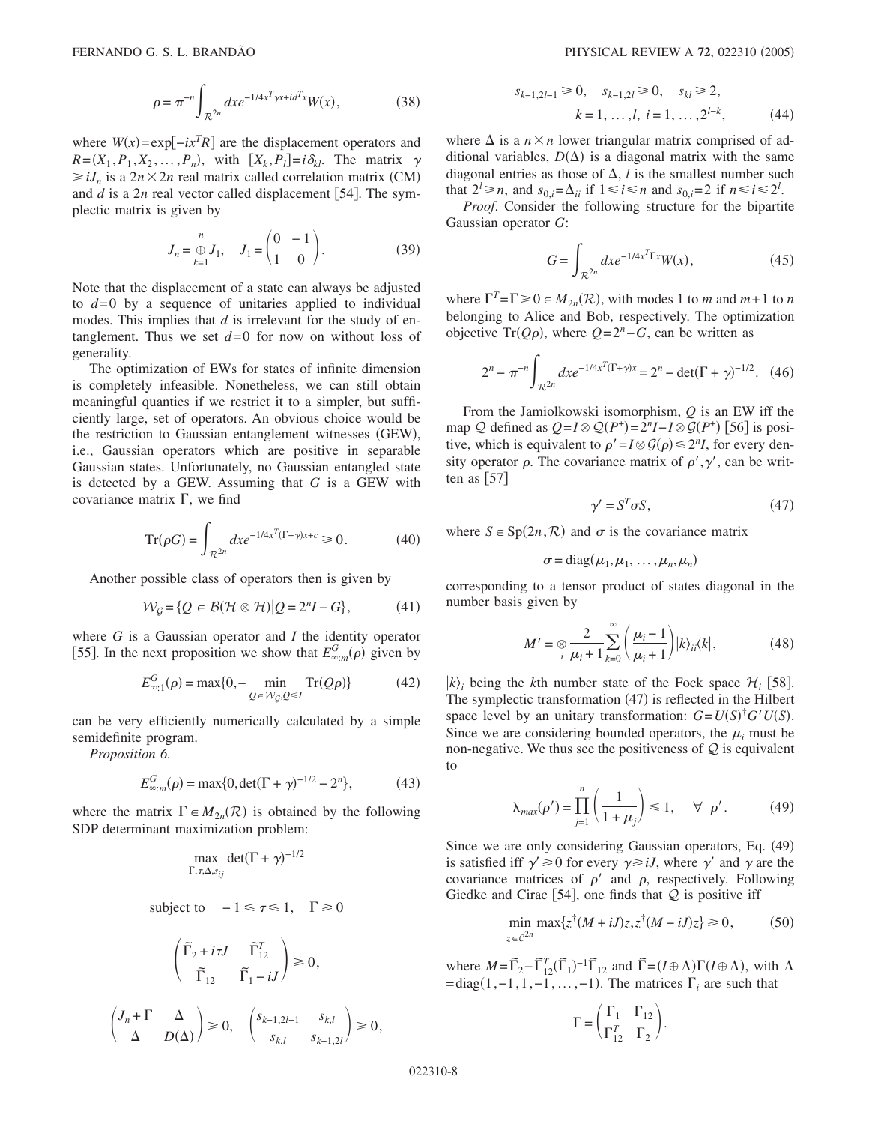$$
\rho = \pi^{-n} \int_{\mathcal{R}^{2n}} dx e^{-1/4x^T \gamma x + id^T x} W(x),
$$
 (38)

where  $W(x) = \exp[-ix^T R]$  are the displacement operators and  $R = (X_1, P_1, X_2, \dots, P_n)$ , with  $[X_k, P_l] = i \delta_{kl}$ . The matrix  $\gamma$  $\ge iJ_n$  is a  $2n \times 2n$  real matrix called correlation matrix (CM) and  $d$  is a  $2n$  real vector called displacement [54]. The symplectic matrix is given by

$$
J_n = \bigoplus_{k=1}^n J_1, \quad J_1 = \begin{pmatrix} 0 & -1 \\ 1 & 0 \end{pmatrix}.
$$
 (39)

Note that the displacement of a state can always be adjusted to *d*=0 by a sequence of unitaries applied to individual modes. This implies that *d* is irrelevant for the study of entanglement. Thus we set  $d=0$  for now on without loss of generality.

The optimization of EWs for states of infinite dimension is completely infeasible. Nonetheless, we can still obtain meaningful quanties if we restrict it to a simpler, but sufficiently large, set of operators. An obvious choice would be the restriction to Gaussian entanglement witnesses (GEW), i.e., Gaussian operators which are positive in separable Gaussian states. Unfortunately, no Gaussian entangled state is detected by a GEW. Assuming that *G* is a GEW with covariance matrix  $\Gamma$ , we find

$$
\operatorname{Tr}(\rho G) = \int_{\mathcal{R}^{2n}} dx e^{-1/4x^T(\Gamma + \gamma)x + c} \ge 0.
$$
 (40)

Another possible class of operators then is given by

$$
\mathcal{W}_{\mathcal{G}} = \{ Q \in \mathcal{B}(\mathcal{H} \otimes \mathcal{H}) | Q = 2^{n}I - G \},\tag{41}
$$

where *G* is a Gaussian operator and *I* the identity operator [55]. In the next proposition we show that  $E_{\infty,m}^G(\rho)$  given by

$$
E_{\infty;1}^{G}(\rho) = \max\{0, -\min_{Q \in \mathcal{W}_{G}, Q \leq I} \text{Tr}(Q\rho)\}\
$$
 (42)

can be very efficiently numerically calculated by a simple semidefinite program.

*Proposition 6.*

$$
E_{\infty,m}^G(\rho) = \max\{0, \det(\Gamma + \gamma)^{-1/2} - 2^n\},\tag{43}
$$

where the matrix  $\Gamma \in M_{2n}(\mathcal{R})$  is obtained by the following SDP determinant maximization problem:

$$
\max_{\Gamma,\tau,\Delta,s_{ij}} \det(\Gamma + \gamma)^{-1/2}
$$

subject to 
$$
-1 \le \tau \le 1
$$
,  $\Gamma \ge 0$ 

$$
\begin{aligned} \begin{pmatrix} \widetilde{\Gamma}_2+i\tau J & \widetilde{\Gamma}_{12}^T \\ & \widetilde{\Gamma}_{12} & \widetilde{\Gamma}_1-iJ \end{pmatrix}\geq 0,\\ \begin{pmatrix} J_n+\Gamma & \Delta \\ \Delta & D(\Delta) \end{pmatrix}\geq 0, \quad \begin{pmatrix} s_{k-1,2l-1} & s_{k,l} \\ & s_{k,l} & s_{k-1,2l} \end{pmatrix}\geq 0, \end{aligned}
$$

$$
s_{k-1,2l-1} \ge 0, \quad s_{k-1,2l} \ge 0, \quad s_{kl} \ge 2,
$$
  

$$
k = 1, ..., l, i = 1, ..., 2^{l-k}, \quad (44)
$$

where  $\Delta$  is a  $n \times n$  lower triangular matrix comprised of additional variables,  $D(\Delta)$  is a diagonal matrix with the same diagonal entries as those of  $\Delta$ , *l* is the smallest number such that  $2^l \ge n$ , and  $s_{0,i} = \Delta_{ii}$  if  $1 \le i \le n$  and  $s_{0,i} = 2$  if  $n \le i \le 2^l$ .

*Proof*. Consider the following structure for the bipartite Gaussian operator *G*:

$$
G = \int_{\mathcal{R}^{2n}} dx e^{-1/4x^T \Gamma x} W(x),\tag{45}
$$

where  $\Gamma^T = \Gamma \ge 0 \in M_{2n}(\mathcal{R})$ , with modes 1 to *m* and *m*+1 to *n* belonging to Alice and Bob, respectively. The optimization objective Tr( $Q\rho$ ), where  $Q = 2^n - G$ , can be written as

$$
2^{n} - \pi^{-n} \int_{\mathcal{R}^{2n}} dx e^{-1/4x^{T}(\Gamma + \gamma)x} = 2^{n} - \det(\Gamma + \gamma)^{-1/2}.
$$
 (46)

From the Jamiolkowski isomorphism, *Q* is an EW iff the map  $Q$  defined as  $Q = I \otimes Q(P^+) = 2^n I - I \otimes G(P^+)$  [56] is positive, which is equivalent to  $\rho' = I \otimes \mathcal{G}(\rho) \leq 2^n I$ , for every density operator  $\rho$ . The covariance matrix of  $\rho', \gamma'$ , can be written as  $|57|$ 

$$
\gamma' = S^T \sigma S,\tag{47}
$$

where  $S \in \text{Sp}(2n, \mathcal{R})$  and  $\sigma$  is the covariance matrix

$$
\sigma = diag(\mu_1, \mu_1, \ldots, \mu_n, \mu_n)
$$

corresponding to a tensor product of states diagonal in the number basis given by

$$
M' = \otimes \frac{2}{\mu_i + 1} \sum_{k=0}^{\infty} \left( \frac{\mu_i - 1}{\mu_i + 1} \right) |k\rangle_{ii} \langle k|, \tag{48}
$$

 $|k\rangle$  being the *k*th number state of the Fock space  $\mathcal{H}_i$  [58]. The symplectic transformation (47) is reflected in the Hilbert space level by an unitary transformation:  $G = U(S)^{\dagger} G' U(S)$ . Since we are considering bounded operators, the  $\mu_i$  must be non-negative. We thus see the positiveness of  $Q$  is equivalent to

$$
\lambda_{max}(\rho') = \prod_{j=1}^{n} \left(\frac{1}{1+\mu_j}\right) \le 1, \quad \forall \ \rho'. \tag{49}
$$

Since we are only considering Gaussian operators, Eq. (49) is satisfied iff  $\gamma' \ge 0$  for every  $\gamma \ge iJ$ , where  $\gamma'$  and  $\gamma$  are the covariance matrices of  $\rho'$  and  $\rho$ , respectively. Following Giedke and Cirac [54], one finds that  $Q$  is positive iff

$$
\min_{z \in \mathcal{C}^{2n}} \max \{ z^\dagger (M + iJ) z, z^\dagger (M - iJ) z \} \ge 0,
$$
\n(50)

where  $M = \tilde{\Gamma}_2 - \tilde{\Gamma}_{12}^T (\tilde{\Gamma}_1)^{-1} \tilde{\Gamma}_{12}$  and  $\tilde{\Gamma} = (I \oplus \Lambda) \Gamma (I \oplus \Lambda)$ , with  $\Lambda$  $= diag(1, -1, 1, -1, \ldots, -1)$ . The matrices  $\Gamma_i$  are such that

$$
\Gamma = \begin{pmatrix} \Gamma_1 & \Gamma_{12} \\ \Gamma_{12}^T & \Gamma_2 \end{pmatrix}.
$$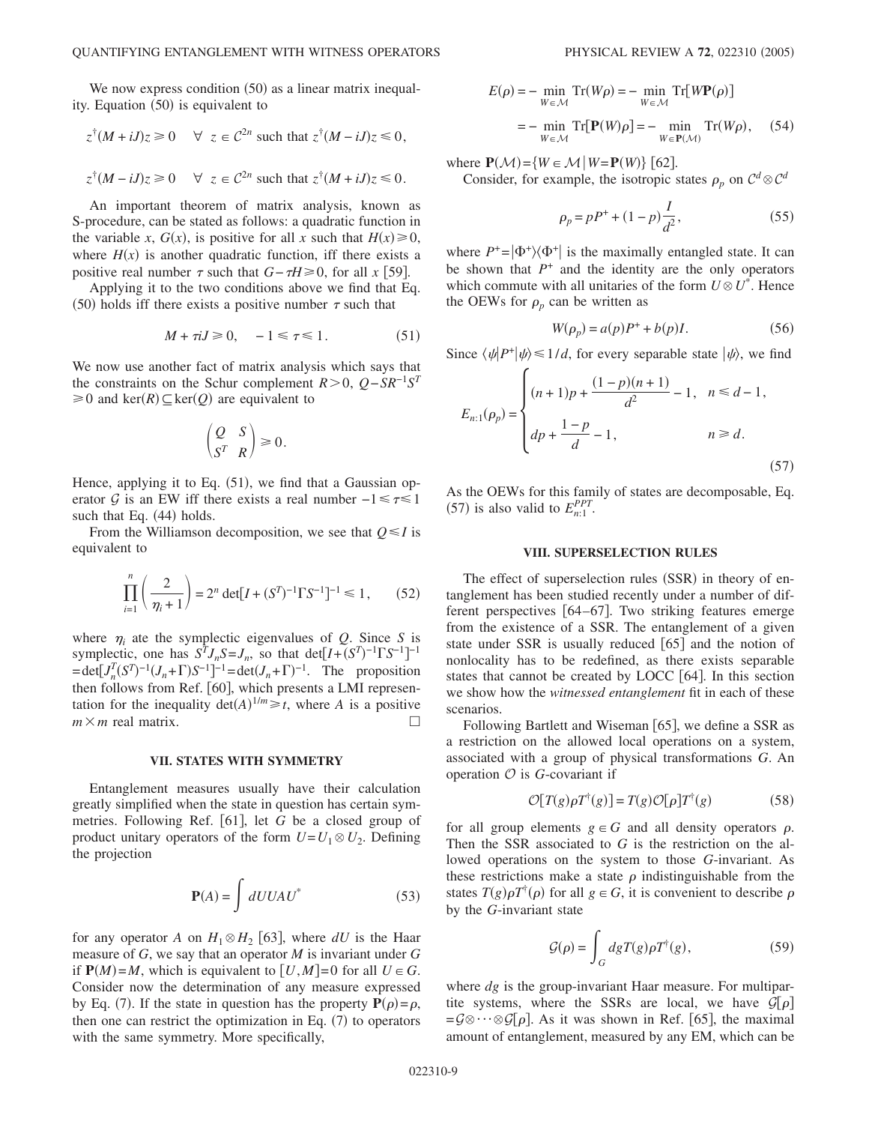We now express condition (50) as a linear matrix inequality. Equation (50) is equivalent to

$$
z^{\dagger}(M+iJ)z \ge 0 \quad \forall z \in \mathcal{C}^{2n} \text{ such that } z^{\dagger}(M-iJ)z \le 0,
$$
  

$$
z^{\dagger}(M-iJ)z \ge 0 \quad \forall z \in \mathcal{C}^{2n} \text{ such that } z^{\dagger}(M+iJ)z \le 0.
$$

An important theorem of matrix analysis, known as S-procedure, can be stated as follows: a quadratic function in the variable *x*,  $G(x)$ , is positive for all *x* such that  $H(x) \ge 0$ , where  $H(x)$  is another quadratic function, iff there exists a positive real number  $\tau$  such that *G*− $\tau H \ge 0$ , for all *x* [59].

Applying it to the two conditions above we find that Eq. (50) holds iff there exists a positive number  $\tau$  such that

$$
M + \tau iJ \ge 0, \quad -1 \le \tau \le 1. \tag{51}
$$

We now use another fact of matrix analysis which says that the constraints on the Schur complement  $R>0$ ,  $Q-SR^{-1}S^{T}$  $\geq 0$  and ker $(R) \subseteq \text{ker}(Q)$  are equivalent to

$$
\begin{pmatrix} Q & S \\ S^T & R \end{pmatrix} \ge 0.
$$

Hence, applying it to Eq. (51), we find that a Gaussian operator G is an EW iff there exists a real number  $-1 \le \tau \le 1$ such that Eq. (44) holds.

From the Williamson decomposition, we see that  $Q \leq I$  is equivalent to

$$
\prod_{i=1}^{n} \left( \frac{2}{\eta_i + 1} \right) = 2^n \det[I + (S^T)^{-1} \Gamma S^{-1}]^{-1} \le 1, \qquad (52)
$$

where  $\eta_i$  ate the symplectic eigenvalues of *Q*. Since *S* is symplectic, one has  $S^T J_n S = J_n$ , so that det $[I + (S^T)^{-1} \Gamma S^{-1}]^{-1}$  $=\det[J_n^T(S^T)^{-1}(J_n+\Gamma)S^{-1}]^{-1} = \det(J_n+\Gamma)^{-1}$ . The proposition then follows from Ref. [60], which presents a LMI representation for the inequality  $det(A)^{1/m} \geq t$ , where *A* is a positive  $m \times m$  real matrix.

#### **VII. STATES WITH SYMMETRY**

Entanglement measures usually have their calculation greatly simplified when the state in question has certain symmetries. Following Ref. [61], let *G* be a closed group of product unitary operators of the form  $U = U_1 \otimes U_2$ . Defining the projection

$$
\mathbf{P}(A) = \int dUUAU^* \tag{53}
$$

for any operator *A* on  $H_1 \otimes H_2$  [63], where *dU* is the Haar measure of *G*, we say that an operator *M* is invariant under *G* if  $P(M)=M$ , which is equivalent to  $[U,M]=0$  for all  $U \in G$ . Consider now the determination of any measure expressed by Eq. (7). If the state in question has the property  $P(\rho) = \rho$ , then one can restrict the optimization in Eq.  $(7)$  to operators with the same symmetry. More specifically,

$$
E(\rho) = - \min_{W \in \mathcal{M}} \operatorname{Tr}(W\rho) = - \min_{W \in \mathcal{M}} \operatorname{Tr}[W\mathbf{P}(\rho)]
$$
  
= 
$$
- \min_{W \in \mathcal{M}} \operatorname{Tr}[\mathbf{P}(W)\rho] = - \min_{W \in \mathbf{P}(\mathcal{M})} \operatorname{Tr}(W\rho), \quad (54)
$$

where  $\mathbf{P}(\mathcal{M}) = \{W \in \mathcal{M} \mid W = \mathbf{P}(W)\}$  [62].

Consider, for example, the isotropic states  $\rho_p$  on  $C^d \otimes C^d$ 

$$
\rho_p = pP^+ + (1 - p)\frac{I}{d^2},\tag{55}
$$

where  $P^+ = |\Phi^+\rangle\langle\Phi^+|$  is the maximally entangled state. It can be shown that  $P^+$  and the identity are the only operators which commute with all unitaries of the form  $U \otimes U^*$ . Hence the OEWs for  $\rho_p$  can be written as

$$
W(\rho_p) = a(p)P^+ + b(p)I.
$$
 (56)

Since  $\langle \psi | P^+ | \psi \rangle \le 1/d$ , for every separable state  $| \psi \rangle$ , we find

$$
E_{n:1}(\rho_p) = \begin{cases} (n+1)p + \frac{(1-p)(n+1)}{d^2} - 1, & n \le d-1, \\ dp + \frac{1-p}{d} - 1, & n \ge d. \end{cases}
$$
 (57)

As the OEWs for this family of states are decomposable, Eq. (57) is also valid to  $E_{n:1}^{PPT}$ .

### **VIII. SUPERSELECTION RULES**

The effect of superselection rules (SSR) in theory of entanglement has been studied recently under a number of different perspectives  $[64–67]$ . Two striking features emerge from the existence of a SSR. The entanglement of a given state under SSR is usually reduced  $\lceil 65 \rceil$  and the notion of nonlocality has to be redefined, as there exists separable states that cannot be created by LOCC  $[64]$ . In this section we show how the *witnessed entanglement* fit in each of these scenarios.

Following Bartlett and Wiseman [65], we define a SSR as a restriction on the allowed local operations on a system, associated with a group of physical transformations *G*. An operation  $\mathcal O$  is *G*-covariant if

$$
\mathcal{O}[T(g)\rho T^{\dagger}(g)] = T(g)\mathcal{O}[\rho]T^{\dagger}(g) \tag{58}
$$

for all group elements  $g \in G$  and all density operators  $\rho$ . Then the SSR associated to *G* is the restriction on the allowed operations on the system to those *G*-invariant. As these restrictions make a state  $\rho$  indistinguishable from the states  $T(g)\rho T^{\dagger}(\rho)$  for all  $g \in G$ , it is convenient to describe  $\rho$ by the *G*-invariant state

$$
\mathcal{G}(\rho) = \int_G dg T(g)\rho T^{\dagger}(g),\tag{59}
$$

where *dg* is the group-invariant Haar measure. For multipartite systems, where the SSRs are local, we have  $\mathcal{G}[\rho]$  $=\mathcal{G}\otimes\cdots\otimes\mathcal{G}[\rho]$ . As it was shown in Ref. [65], the maximal amount of entanglement, measured by any EM, which can be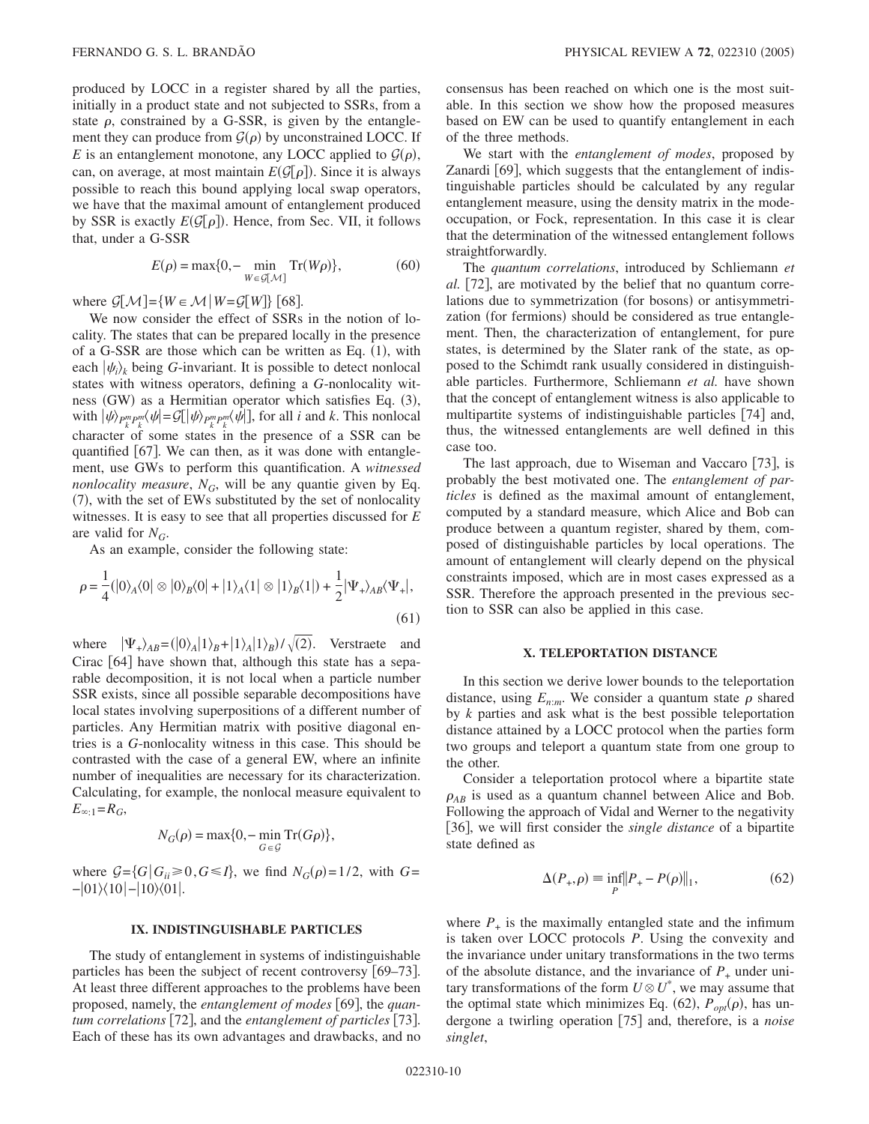produced by LOCC in a register shared by all the parties, initially in a product state and not subjected to SSRs, from a state  $\rho$ , constrained by a G-SSR, is given by the entanglement they can produce from  $\mathcal{G}(\rho)$  by unconstrained LOCC. If *E* is an entanglement monotone, any LOCC applied to  $G(\rho)$ , can, on average, at most maintain  $E(\mathcal{G}[\rho])$ . Since it is always possible to reach this bound applying local swap operators, we have that the maximal amount of entanglement produced by SSR is exactly  $E(\mathcal{G}[\rho])$ . Hence, from Sec. VII, it follows that, under a G-SSR

$$
E(\rho) = \max\{0, -\min_{W \in \mathcal{G}[M]} \text{Tr}(W\rho)\},\tag{60}
$$

where  $\mathcal{G}[\mathcal{M}]=\{W \in \mathcal{M} | W = \mathcal{G}[W]\}$  [68].

We now consider the effect of SSRs in the notion of locality. The states that can be prepared locally in the presence of a G-SSR are those which can be written as Eq.  $(1)$ , with each  $|\psi_i\rangle_k$  being *G*-invariant. It is possible to detect nonlocal states with witness operators, defining a *G*-nonlocality witness (GW) as a Hermitian operator which satisfies Eq. (3), with  $|\psi\rangle_{P_k^m P_k^m} \langle \psi| = \mathcal{G}[\psi\rangle_{P_k^m P_k^m} \langle \psi|]$ , for all *i* and *k*. This nonlocal character of some states in the presence of a SSR can be quantified  $[67]$ . We can then, as it was done with entanglement, use GWs to perform this quantification. A *witnessed nonlocality measure,*  $N_G$ , will be any quantie given by Eq. (7), with the set of EWs substituted by the set of nonlocality witnesses. It is easy to see that all properties discussed for *E* are valid for  $N_G$ .

As an example, consider the following state:

$$
\rho = \frac{1}{4} (|0\rangle_A \langle 0| \otimes |0\rangle_B \langle 0| + |1\rangle_A \langle 1| \otimes |1\rangle_B \langle 1|) + \frac{1}{2} |\Psi_+\rangle_{AB} \langle \Psi_+|,
$$
\n(61)

where  $|\Psi_{+}\rangle_{AB} = (|0\rangle_{A} |1\rangle_{B} + |1\rangle_{A} |1\rangle_{B}) / \sqrt{(2)}$ . Verstraete and Cirac  $[64]$  have shown that, although this state has a separable decomposition, it is not local when a particle number SSR exists, since all possible separable decompositions have local states involving superpositions of a different number of particles. Any Hermitian matrix with positive diagonal entries is a *G*-nonlocality witness in this case. This should be contrasted with the case of a general EW, where an infinite number of inequalities are necessary for its characterization. Calculating, for example, the nonlocal measure equivalent to  $E_{\infty;1} = R_G$ ,

$$
N_G(\rho) = \max\{0, -\min_{G \in \mathcal{G}} \operatorname{Tr}(G\rho)\},\
$$

where  $G = {G | G_i \ge 0, G \le I}$ , we find  $N_G(\rho) = 1/2$ , with  $G =$ −|01\(10|−|10\(01|.

### **IX. INDISTINGUISHABLE PARTICLES**

The study of entanglement in systems of indistinguishable particles has been the subject of recent controversy [69–73]. At least three different approaches to the problems have been proposed, namely, the *entanglement of modes* [69], the *quantum correlations* [72], and the *entanglement of particles* [73]. Each of these has its own advantages and drawbacks, and no consensus has been reached on which one is the most suitable. In this section we show how the proposed measures based on EW can be used to quantify entanglement in each of the three methods.

We start with the *entanglement of modes*, proposed by Zanardi [69], which suggests that the entanglement of indistinguishable particles should be calculated by any regular entanglement measure, using the density matrix in the modeoccupation, or Fock, representation. In this case it is clear that the determination of the witnessed entanglement follows straightforwardly.

The *quantum correlations*, introduced by Schliemann *et al.* [72], are motivated by the belief that no quantum correlations due to symmetrization (for bosons) or antisymmetrization (for fermions) should be considered as true entanglement. Then, the characterization of entanglement, for pure states, is determined by the Slater rank of the state, as opposed to the Schimdt rank usually considered in distinguishable particles. Furthermore, Schliemann *et al.* have shown that the concept of entanglement witness is also applicable to multipartite systems of indistinguishable particles  $[74]$  and, thus, the witnessed entanglements are well defined in this case too.

The last approach, due to Wiseman and Vaccaro [73], is probably the best motivated one. The *entanglement of particles* is defined as the maximal amount of entanglement, computed by a standard measure, which Alice and Bob can produce between a quantum register, shared by them, composed of distinguishable particles by local operations. The amount of entanglement will clearly depend on the physical constraints imposed, which are in most cases expressed as a SSR. Therefore the approach presented in the previous section to SSR can also be applied in this case.

### **X. TELEPORTATION DISTANCE**

In this section we derive lower bounds to the teleportation distance, using  $E_{n:m}$ . We consider a quantum state  $\rho$  shared by *k* parties and ask what is the best possible teleportation distance attained by a LOCC protocol when the parties form two groups and teleport a quantum state from one group to the other.

Consider a teleportation protocol where a bipartite state  $\rho_{AB}$  is used as a quantum channel between Alice and Bob. Following the approach of Vidal and Werner to the negativity [36], we will first consider the *single distance* of a bipartite state defined as

$$
\Delta(P_+,\rho) \equiv \inf_P \|P_+ - P(\rho)\|_1,\tag{62}
$$

where  $P_+$  is the maximally entangled state and the infimum is taken over LOCC protocols *P*. Using the convexity and the invariance under unitary transformations in the two terms of the absolute distance, and the invariance of  $P_+$  under unitary transformations of the form  $U \otimes U^*$ , we may assume that the optimal state which minimizes Eq.  $(62)$ ,  $P_{opt}(\rho)$ , has undergone a twirling operation [75] and, therefore, is a *noise singlet*,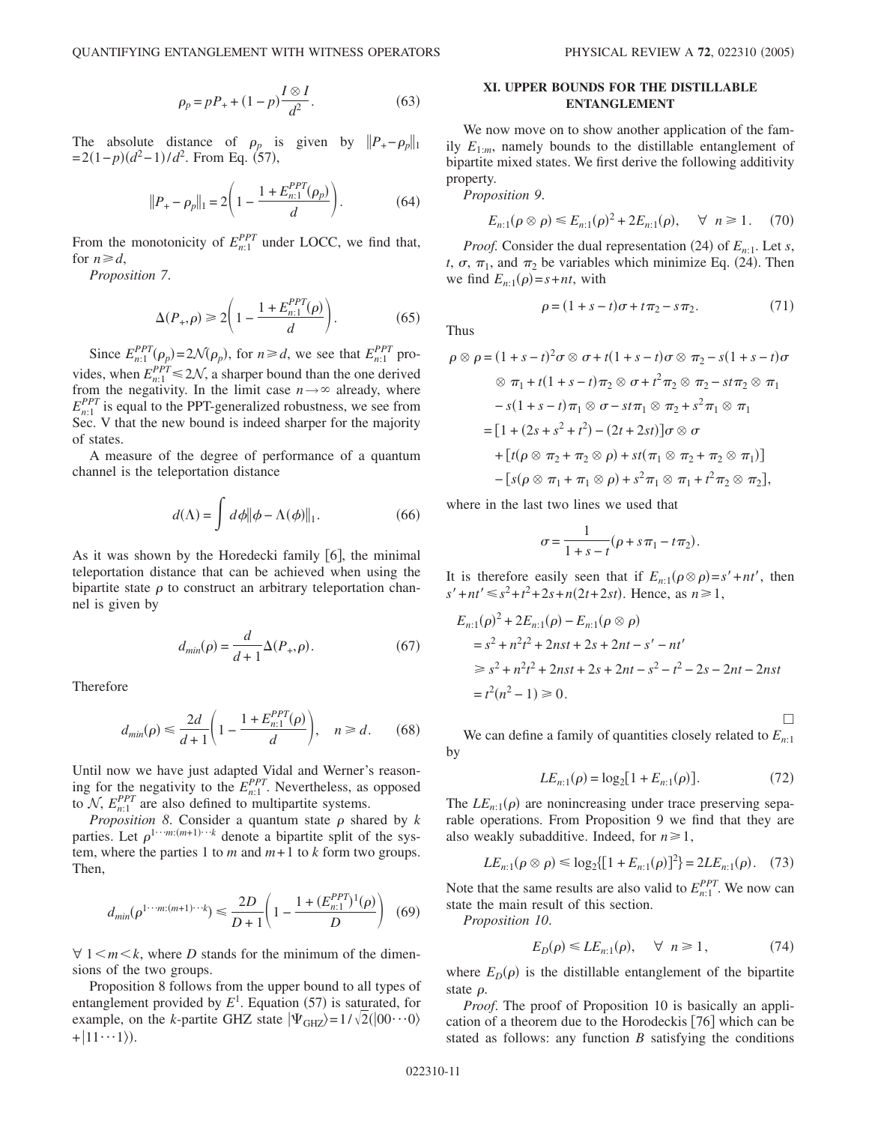$$
\rho_p = pP_+ + (1 - p)\frac{I \otimes I}{d^2}.
$$
\n(63)

The absolute distance of  $\rho_p$  is given by  $||P_+ - \rho_p||_1$  $= 2(1-p)(d^2-1)/d^2$ . From Eq. (57),

$$
||P_{+} - \rho_{p}||_{1} = 2\left(1 - \frac{1 + E_{n:1}^{PPT}(\rho_{p})}{d}\right).
$$
 (64)

From the monotonicity of  $E_{n:1}^{PPT}$  under LOCC, we find that, for  $n \ge d$ ,

*Proposition 7*.

$$
\Delta(P_+,\rho) \ge 2\left(1 - \frac{1 + E_{n;1}^{PPT}(\rho)}{d}\right). \tag{65}
$$

Since  $E_{n:1}^{PPT}(\rho_p) = 2\mathcal{N}(\rho_p)$ , for  $n \ge d$ , we see that  $E_{n:1}^{PPT}$  provides, when  $E_{n:1}^{PPT} \le 2\mathcal{N}$ , a sharper bound than the one derived from the negativity. In the limit case  $n \rightarrow \infty$  already, where  $E_{n:1}^{PPT}$  is equal to the PPT-generalized robustness, we see from Sec. V that the new bound is indeed sharper for the majority of states.

A measure of the degree of performance of a quantum channel is the teleportation distance

$$
d(\Lambda) = \int d\phi \|\phi - \Lambda(\phi)\|_1.
$$
 (66)

As it was shown by the Horedecki family  $[6]$ , the minimal teleportation distance that can be achieved when using the bipartite state  $\rho$  to construct an arbitrary teleportation channel is given by

$$
d_{min}(\rho) = \frac{d}{d+1} \Delta(P_+,\rho).
$$
 (67)

Therefore

$$
d_{min}(\rho) \le \frac{2d}{d+1} \left( 1 - \frac{1 + E_{n:1}^{PPT}(\rho)}{d} \right), \quad n \ge d. \tag{68}
$$

Until now we have just adapted Vidal and Werner's reasoning for the negativity to the  $E_{n;1}^{PPT}$ . Nevertheless, as opposed to  $N$ ,  $E_{n:1}^{PPT}$  are also defined to multipartite systems.

*Proposition 8*. Consider a quantum state  $\rho$  shared by  $k$ parties. Let  $\rho^{1 \cdots m:(m+1)\cdots k}$  denote a bipartite split of the system, where the parties 1 to  $m$  and  $m+1$  to  $k$  form two groups. Then,

$$
d_{min}(\rho^{1\cdots m:(m+1)\cdots k}) \le \frac{2D}{D+1} \left(1 - \frac{1 + (E_{n:1}^{PPT})^1(\rho)}{D}\right) \tag{69}
$$

 $\forall$  1  $\leq m \leq k$ , where *D* stands for the minimum of the dimensions of the two groups.

Proposition 8 follows from the upper bound to all types of entanglement provided by  $E^1$ . Equation (57) is saturated, for example, on the *k*-partite GHZ state  $|\Psi_{GHZ}\rangle = 1/\sqrt{2(|00\cdots 0\rangle)}$  $+|11\cdots1\rangle$ ).

 $2.$  (71)

 $\Box$ 

# **XI. UPPER BOUNDS FOR THE DISTILLABLE ENTANGLEMENT**

We now move on to show another application of the family  $E_{1:m}$ , namely bounds to the distillable entanglement of bipartite mixed states. We first derive the following additivity property.

*Proposition 9*.

$$
E_{n:1}(\rho \otimes \rho) \le E_{n:1}(\rho)^2 + 2E_{n:1}(\rho), \quad \forall \ n \ge 1. \tag{70}
$$

*Proof.* Consider the dual representation (24) of  $E_{n:1}$ . Let *s*, *t*,  $\sigma$ ,  $\pi$ <sub>1</sub>, and  $\pi$ <sub>2</sub> be variables which minimize Eq. (24). Then we find  $E_{n:1}(\rho) = s + nt$ , with

 $\rho = (1 + s - t)\sigma + t\pi_2 - s\pi$ 

Thus

$$
\rho \otimes \rho = (1 + s - t)^2 \sigma \otimes \sigma + t(1 + s - t)\sigma \otimes \pi_2 - s(1 + s - t)\sigma
$$
  

$$
\otimes \pi_1 + t(1 + s - t)\pi_2 \otimes \sigma + t^2 \pi_2 \otimes \pi_2 - s t \pi_2 \otimes \pi_1
$$
  

$$
- s(1 + s - t)\pi_1 \otimes \sigma - s t \pi_1 \otimes \pi_2 + s^2 \pi_1 \otimes \pi_1
$$
  

$$
= [1 + (2s + s^2 + t^2) - (2t + 2st)]\sigma \otimes \sigma
$$
  

$$
+ [t(\rho \otimes \pi_2 + \pi_2 \otimes \rho) + st(\pi_1 \otimes \pi_2 + \pi_2 \otimes \pi_1)]
$$
  

$$
- [s(\rho \otimes \pi_1 + \pi_1 \otimes \rho) + s^2 \pi_1 \otimes \pi_1 + t^2 \pi_2 \otimes \pi_2],
$$

where in the last two lines we used that

$$
\sigma = \frac{1}{1+s-t}(\rho+s\pi_1-t\pi_2).
$$

It is therefore easily seen that if  $E_{n:1}(\rho \otimes \rho) = s' + nt'$ , then  $s' + nt' \le s^2 + t^2 + 2s + n(2t + 2st)$ . Hence, as  $n \ge 1$ ,

$$
E_{n:1}(\rho)^2 + 2E_{n:1}(\rho) - E_{n:1}(\rho \otimes \rho)
$$
  
=  $s^2 + n^2t^2 + 2nst + 2s + 2nt - s' - nt'$   
 $\geq s^2 + n^2t^2 + 2nst + 2s + 2nt - s^2 - t^2 - 2s - 2nt - 2nst$   
=  $t^2(n^2 - 1) \geq 0$ .

We can define a family of quantities closely related to  $E_{n,1}$ by

$$
LE_{n:1}(\rho) = \log_2[1 + E_{n:1}(\rho)].
$$
\n(72)

The  $LE_{n:1}(\rho)$  are nonincreasing under trace preserving separable operations. From Proposition 9 we find that they are also weakly subadditive. Indeed, for  $n \ge 1$ ,

$$
LE_{n:1}(\rho \otimes \rho) \le \log_2\{ [1 + E_{n:1}(\rho)]^2 \} = 2LE_{n:1}(\rho). \quad (73)
$$

Note that the same results are also valid to  $E_{n:1}^{PPT}$ . We now can state the main result of this section.

*Proposition 10*.

$$
E_D(\rho) \le LE_{n:1}(\rho), \quad \forall \ n \ge 1,
$$
 (74)

where  $E_D(\rho)$  is the distillable entanglement of the bipartite state  $\rho$ .

*Proof*. The proof of Proposition 10 is basically an application of a theorem due to the Horodeckis  $[76]$  which can be stated as follows: any function *B* satisfying the conditions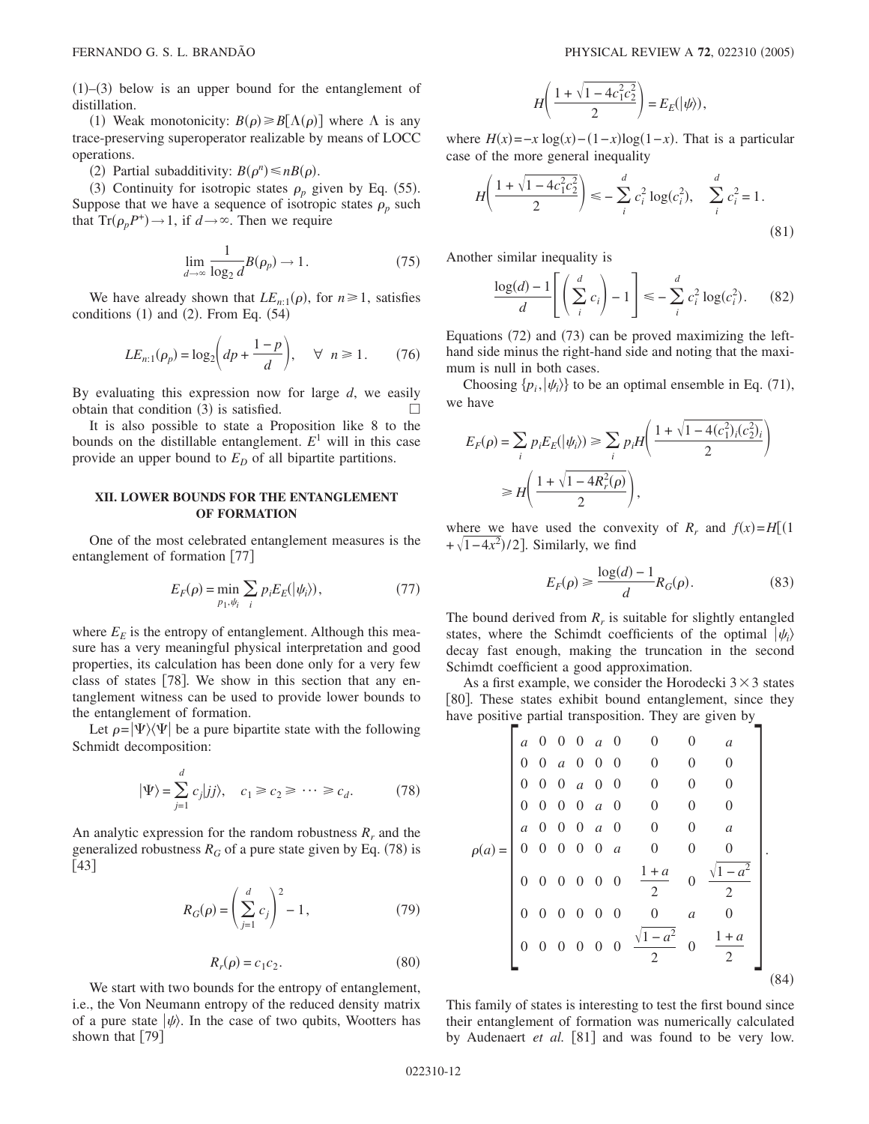$(1)$ – $(3)$  below is an upper bound for the entanglement of distillation.

(1) Weak monotonicity:  $B(\rho) \ge B[\Lambda(\rho)]$  where  $\Lambda$  is any trace-preserving superoperator realizable by means of LOCC operations.

(2) Partial subadditivity:  $B(\rho^n) \leq nB(\rho)$ .

(3) Continuity for isotropic states  $\rho_p$  given by Eq. (55). Suppose that we have a sequence of isotropic states  $\rho_p$  such that  $Tr(\rho_p P^+) \rightarrow 1$ , if  $d \rightarrow \infty$ . Then we require

$$
\lim_{d \to \infty} \frac{1}{\log_2 d} B(\rho_p) \to 1.
$$
\n(75)

We have already shown that  $LE_{n:1}(\rho)$ , for  $n \ge 1$ , satisfies conditions  $(1)$  and  $(2)$ . From Eq.  $(54)$ 

$$
LE_{n:1}(\rho_p) = \log_2 \left( dp + \frac{1-p}{d} \right), \quad \forall \ n \ge 1. \tag{76}
$$

By evaluating this expression now for large *d*, we easily obtain that condition (3) is satisfied.  $\Box$ 

It is also possible to state a Proposition like 8 to the bounds on the distillable entanglement.  $E<sup>1</sup>$  will in this case provide an upper bound to  $E_D$  of all bipartite partitions.

## **XII. LOWER BOUNDS FOR THE ENTANGLEMENT OF FORMATION**

One of the most celebrated entanglement measures is the entanglement of formation [77]

$$
E_F(\rho) = \min_{p_1, \psi_i} \sum_i p_i E_E(|\psi_i\rangle),\tag{77}
$$

where  $E<sub>E</sub>$  is the entropy of entanglement. Although this measure has a very meaningful physical interpretation and good properties, its calculation has been done only for a very few class of states  $|78|$ . We show in this section that any entanglement witness can be used to provide lower bounds to the entanglement of formation.

Let  $\rho = |\Psi\rangle\langle\Psi|$  be a pure bipartite state with the following Schmidt decomposition:

$$
|\Psi\rangle = \sum_{j=1}^{d} c_j |jj\rangle, \quad c_1 \ge c_2 \ge \cdots \ge c_d. \tag{78}
$$

An analytic expression for the random robustness  $R_r$  and the generalized robustness  $R_G$  of a pure state given by Eq. (78) is  $\lfloor 43 \rfloor$ 

$$
R_G(\rho) = \left(\sum_{j=1}^d c_j\right)^2 - 1,\tag{79}
$$

$$
R_r(\rho) = c_1 c_2. \tag{80}
$$

We start with two bounds for the entropy of entanglement, i.e., the Von Neumann entropy of the reduced density matrix of a pure state  $|\psi\rangle$ . In the case of two qubits, Wootters has shown that  $\lceil 79 \rceil$ 

$$
H\left(\frac{1+\sqrt{1-4c_1^2c_2^2}}{2}\right)=E_E(\left|\psi\right\rangle),
$$

where  $H(x) = -x \log(x) - (1-x) \log(1-x)$ . That is a particular case of the more general inequality

$$
H\left(\frac{1+\sqrt{1-4c_1^2c_2^2}}{2}\right) \le -\sum_{i}^{d} c_i^2 \log(c_i^2), \quad \sum_{i}^{d} c_i^2 = 1.
$$
\n(81)

Another similar inequality is

$$
\frac{\log(d) - 1}{d} \left[ \left( \sum_{i}^{d} c_i \right) - 1 \right] \leq - \sum_{i}^{d} c_i^2 \log(c_i^2). \tag{82}
$$

Equations (72) and (73) can be proved maximizing the lefthand side minus the right-hand side and noting that the maximum is null in both cases.

Choosing  $\{p_i, |\psi_i\rangle\}$  to be an optimal ensemble in Eq. (71), we have

$$
E_F(\rho) = \sum_i p_i E_E(|\psi_i\rangle) \ge \sum_i p_i H\left(\frac{1 + \sqrt{1 - 4(c_1^2)_i(c_2^2)_i}}{2}\right)
$$

$$
\ge H\left(\frac{1 + \sqrt{1 - 4R_r^2(\rho)}}{2}\right),
$$

where we have used the convexity of  $R_r$  and  $f(x) = H[(1$  $+\sqrt{1-4x^2}$ /2]. Similarly, we find

$$
E_F(\rho) \ge \frac{\log(d) - 1}{d} R_G(\rho). \tag{83}
$$

The bound derived from  $R_r$  is suitable for slightly entangled states, where the Schimdt coefficients of the optimal  $|\psi_i\rangle$ decay fast enough, making the truncation in the second Schimdt coefficient a good approximation.

As a first example, we consider the Horodecki  $3 \times 3$  states [80]. These states exhibit bound entanglement, since they have positive partial transposition. They are given by

$$
\rho(a) = \begin{pmatrix}\na & 0 & 0 & 0 & a & 0 & 0 & 0 & a \\
0 & 0 & a & 0 & 0 & 0 & 0 & 0 & 0 \\
0 & 0 & 0 & a & 0 & 0 & 0 & 0 & 0 \\
0 & 0 & 0 & 0 & a & 0 & 0 & 0 & 0 \\
a & 0 & 0 & 0 & 0 & a & 0 & 0 & 0 \\
0 & 0 & 0 & 0 & 0 & 0 & \frac{1+a}{2} & 0 & \frac{\sqrt{1-a^2}}{2} \\
0 & 0 & 0 & 0 & 0 & 0 & 0 & a & 0 \\
0 & 0 & 0 & 0 & 0 & 0 & \frac{\sqrt{1-a^2}}{2} & 0 & \frac{1+a}{2} \\
0 & 0 & 0 & 0 & 0 & 0 & \frac{\sqrt{1-a^2}}{2} & 0 & \frac{1+a}{2}\n\end{pmatrix}
$$
\n(84)

This family of states is interesting to test the first bound since their entanglement of formation was numerically calculated by Audenaert et al. [81] and was found to be very low.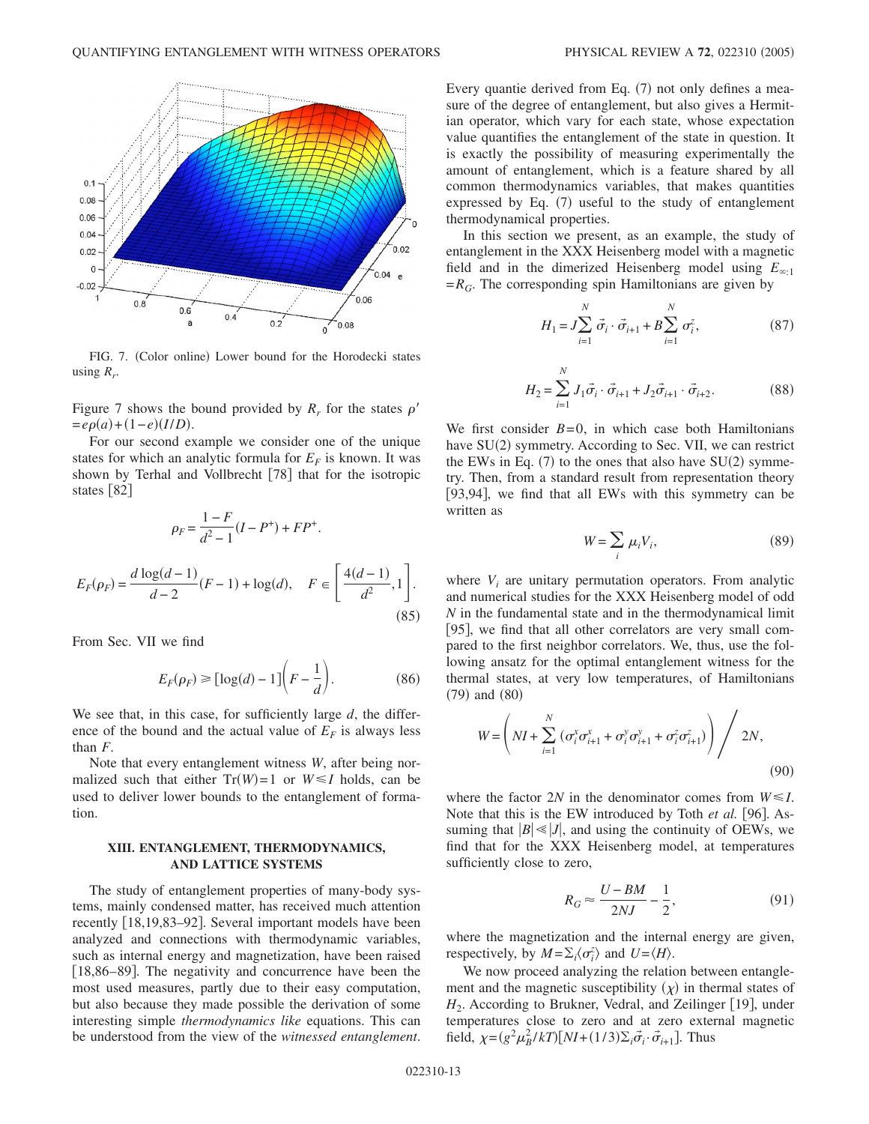![](_page_12_Figure_1.jpeg)

FIG. 7. (Color online) Lower bound for the Horodecki states using  $R_r$ .

Figure 7 shows the bound provided by  $R_r$  for the states  $\rho'$  $= e\rho(a) + (1-e)(I/D).$ 

For our second example we consider one of the unique states for which an analytic formula for  $E_F$  is known. It was shown by Terhal and Vollbrecht [78] that for the isotropic states  $\lceil 82 \rceil$ 

$$
\rho_F = \frac{1 - F}{d^2 - 1} (I - P^+) + FP^+.
$$
  

$$
E_F(\rho_F) = \frac{d \log(d - 1)}{d - 2} (F - 1) + \log(d), \quad F \in \left[\frac{4(d - 1)}{d^2}, 1\right].
$$
 (85)

From Sec. VII we find

$$
E_F(\rho_F) \geq \left[\log(d) - 1\right]\left(F - \frac{1}{d}\right). \tag{86}
$$

We see that, in this case, for sufficiently large *d*, the difference of the bound and the actual value of  $E_F$  is always less than *F*.

Note that every entanglement witness *W*, after being normalized such that either  $Tr(W) = 1$  or  $W \le I$  holds, can be used to deliver lower bounds to the entanglement of formation.

### **XIII. ENTANGLEMENT, THERMODYNAMICS, AND LATTICE SYSTEMS**

The study of entanglement properties of many-body systems, mainly condensed matter, has received much attention recently [18,19,83–92]. Several important models have been analyzed and connections with thermodynamic variables, such as internal energy and magnetization, have been raised [18,86–89]. The negativity and concurrence have been the most used measures, partly due to their easy computation, but also because they made possible the derivation of some interesting simple *thermodynamics like* equations. This can be understood from the view of the *witnessed entanglement*.

Every quantie derived from Eq. (7) not only defines a measure of the degree of entanglement, but also gives a Hermitian operator, which vary for each state, whose expectation value quantifies the entanglement of the state in question. It is exactly the possibility of measuring experimentally the amount of entanglement, which is a feature shared by all common thermodynamics variables, that makes quantities expressed by Eq. (7) useful to the study of entanglement thermodynamical properties.

In this section we present, as an example, the study of entanglement in the XXX Heisenberg model with a magnetic field and in the dimerized Heisenberg model using  $E_{\infty,1}$  $=R_G$ . The corresponding spin Hamiltonians are given by

$$
H_1 = J \sum_{i=1}^{N} \vec{\sigma}_i \cdot \vec{\sigma}_{i+1} + B \sum_{i=1}^{N} \sigma_i^z,
$$
 (87)

$$
H_2 = \sum_{i=1}^{N} J_1 \vec{\sigma}_i \cdot \vec{\sigma}_{i+1} + J_2 \vec{\sigma}_{i+1} \cdot \vec{\sigma}_{i+2}.
$$
 (88)

We first consider  $B=0$ , in which case both Hamiltonians have SU(2) symmetry. According to Sec. VII, we can restrict the EWs in Eq.  $(7)$  to the ones that also have SU $(2)$  symmetry. Then, from a standard result from representation theory [93,94], we find that all EWs with this symmetry can be written as

$$
W = \sum_{i} \mu_i V_i, \tag{89}
$$

where  $V_i$  are unitary permutation operators. From analytic and numerical studies for the XXX Heisenberg model of odd *N* in the fundamental state and in the thermodynamical limit [95], we find that all other correlators are very small compared to the first neighbor correlators. We, thus, use the following ansatz for the optimal entanglement witness for the thermal states, at very low temperatures, of Hamiltonians  $(79)$  and  $(80)$ 

$$
W = \left( NI + \sum_{i=1}^{N} \left( \sigma_i^{x} \sigma_{i+1}^{x} + \sigma_i^{y} \sigma_{i+1}^{y} + \sigma_i^{z} \sigma_{i+1}^{z} \right) \right) / 2N,
$$
\n(90)

where the factor 2*N* in the denominator comes from  $W \le I$ . Note that this is the EW introduced by Toth et al. [96]. Assuming that  $|B| \ll |J|$ , and using the continuity of OEWs, we find that for the XXX Heisenberg model, at temperatures sufficiently close to zero,

$$
R_G \approx \frac{U - BM}{2NJ} - \frac{1}{2},\tag{91}
$$

where the magnetization and the internal energy are given, respectively, by  $M = \sum_i \langle \sigma_i^z \rangle$  and  $U = \langle H \rangle$ .

We now proceed analyzing the relation between entanglement and the magnetic susceptibility  $(\chi)$  in thermal states of *H*<sub>2</sub>. According to Brukner, Vedral, and Zeilinger [19], under temperatures close to zero and at zero external magnetic field,  $\chi = (g^2 \mu_B^2 / kT) [NI + (1/3)\Sigma_i \vec{\sigma}_i \cdot \vec{\sigma}_{i+1}]$ . Thus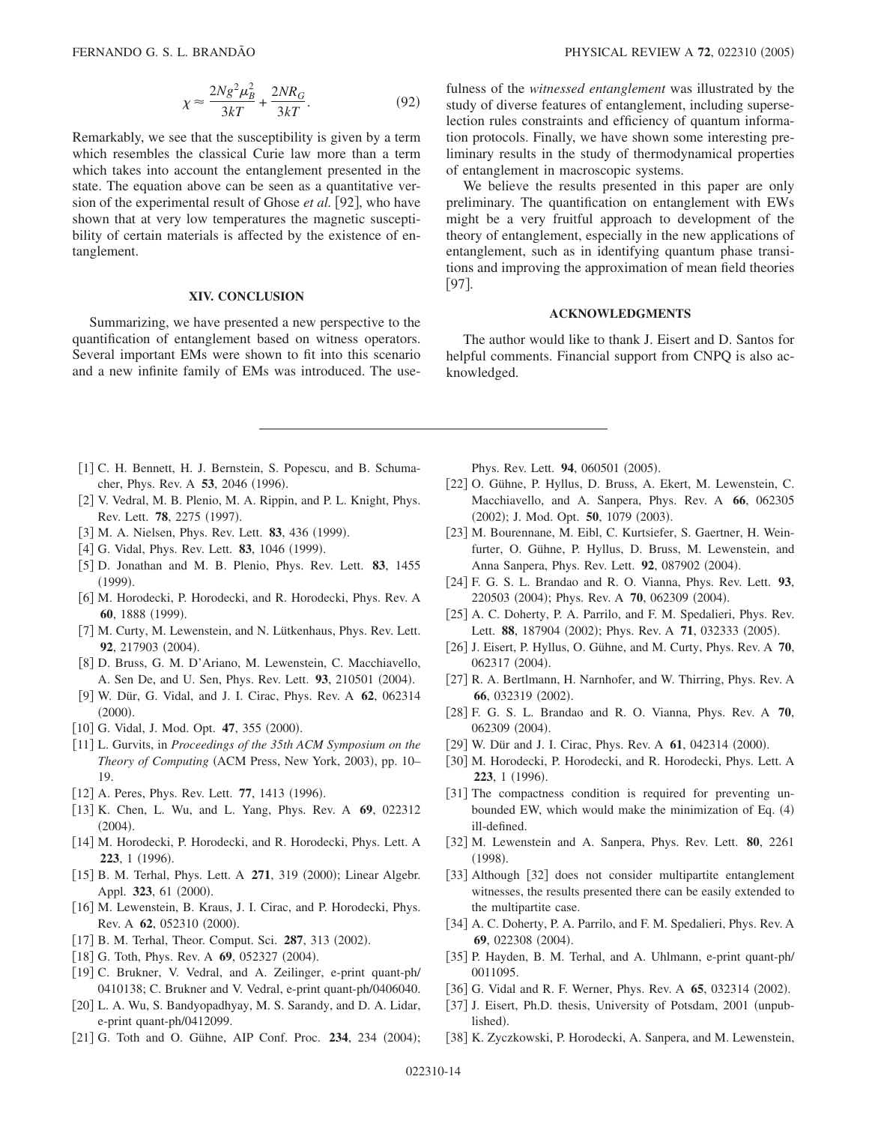$$
\chi \approx \frac{2Ng^2\mu_B^2}{3kT} + \frac{2NR_G}{3kT}.\tag{92}
$$

Remarkably, we see that the susceptibility is given by a term which resembles the classical Curie law more than a term which takes into account the entanglement presented in the state. The equation above can be seen as a quantitative version of the experimental result of Ghose *et al.* [92], who have shown that at very low temperatures the magnetic susceptibility of certain materials is affected by the existence of entanglement.

## **XIV. CONCLUSION**

Summarizing, we have presented a new perspective to the quantification of entanglement based on witness operators. Several important EMs were shown to fit into this scenario and a new infinite family of EMs was introduced. The usefulness of the *witnessed entanglement* was illustrated by the study of diverse features of entanglement, including superselection rules constraints and efficiency of quantum information protocols. Finally, we have shown some interesting preliminary results in the study of thermodynamical properties of entanglement in macroscopic systems.

We believe the results presented in this paper are only preliminary. The quantification on entanglement with EWs might be a very fruitful approach to development of the theory of entanglement, especially in the new applications of entanglement, such as in identifying quantum phase transitions and improving the approximation of mean field theories 97.

### **ACKNOWLEDGMENTS**

The author would like to thank J. Eisert and D. Santos for helpful comments. Financial support from CNPQ is also acknowledged.

- [1] C. H. Bennett, H. J. Bernstein, S. Popescu, and B. Schumacher, Phys. Rev. A 53, 2046 (1996).
- [2] V. Vedral, M. B. Plenio, M. A. Rippin, and P. L. Knight, Phys. Rev. Lett. **78**, 2275 (1997).
- [3] M. A. Nielsen, Phys. Rev. Lett. 83, 436 (1999).
- [4] G. Vidal, Phys. Rev. Lett. **83**, 1046 (1999).
- 5 D. Jonathan and M. B. Plenio, Phys. Rev. Lett. **83**, 1455  $(1999).$
- [6] M. Horodecki, P. Horodecki, and R. Horodecki, Phys. Rev. A 60, 1888 (1999).
- [7] M. Curty, M. Lewenstein, and N. Lütkenhaus, Phys. Rev. Lett. 92, 217903 (2004).
- 8 D. Bruss, G. M. D'Ariano, M. Lewenstein, C. Macchiavello, A. Sen De, and U. Sen, Phys. Rev. Lett. 93, 210501 (2004).
- 9 W. Dür, G. Vidal, and J. I. Cirac, Phys. Rev. A **62**, 062314  $(2000).$
- [10] G. Vidal, J. Mod. Opt. 47, 355 (2000).
- 11 L. Gurvits, in *Proceedings of the 35th ACM Symposium on the* Theory of Computing (ACM Press, New York, 2003), pp. 10-19.
- [12] A. Peres, Phys. Rev. Lett. 77, 1413 (1996).
- 13 K. Chen, L. Wu, and L. Yang, Phys. Rev. A **69**, 022312  $(2004).$
- [14] M. Horodecki, P. Horodecki, and R. Horodecki, Phys. Lett. A **223**, 1 (1996).
- [15] B. M. Terhal, Phys. Lett. A 271, 319 (2000); Linear Algebr. Appl. 323, 61 (2000).
- [16] M. Lewenstein, B. Kraus, J. I. Cirac, and P. Horodecki, Phys. Rev. A 62, 052310 (2000).
- [17] B. M. Terhal, Theor. Comput. Sci. 287, 313 (2002).
- [18] G. Toth, Phys. Rev. A 69, 052327 (2004).
- [19] C. Brukner, V. Vedral, and A. Zeilinger, e-print quant-ph/ 0410138; C. Brukner and V. Vedral, e-print quant-ph/0406040.
- [20] L. A. Wu, S. Bandyopadhyay, M. S. Sarandy, and D. A. Lidar, e-print quant-ph/0412099.
- [21] G. Toth and O. Gühne, AIP Conf. Proc. 234, 234 (2004);

Phys. Rev. Lett. 94, 060501 (2005).

- [22] O. Gühne, P. Hyllus, D. Bruss, A. Ekert, M. Lewenstein, C. Macchiavello, and A. Sanpera, Phys. Rev. A **66**, 062305 (2002); J. Mod. Opt. 50, 1079 (2003).
- 23 M. Bourennane, M. Eibl, C. Kurtsiefer, S. Gaertner, H. Weinfurter, O. Gühne, P. Hyllus, D. Bruss, M. Lewenstein, and Anna Sanpera, Phys. Rev. Lett. 92, 087902 (2004).
- 24 F. G. S. L. Brandao and R. O. Vianna, Phys. Rev. Lett. **93**, 220503 (2004); Phys. Rev. A 70, 062309 (2004).
- [25] A. C. Doherty, P. A. Parrilo, and F. M. Spedalieri, Phys. Rev. Lett. 88, 187904 (2002); Phys. Rev. A 71, 032333 (2005).
- 26 J. Eisert, P. Hyllus, O. Gühne, and M. Curty, Phys. Rev. A **70**, 062317 (2004).
- [27] R. A. Bertlmann, H. Narnhofer, and W. Thirring, Phys. Rev. A 66, 032319 (2002).
- 28 F. G. S. L. Brandao and R. O. Vianna, Phys. Rev. A **70**, 062309 (2004).
- [29] W. Dür and J. I. Cirac, Phys. Rev. A 61, 042314 (2000).
- [30] M. Horodecki, P. Horodecki, and R. Horodecki, Phys. Lett. A 223, 1 (1996).
- [31] The compactness condition is required for preventing unbounded EW, which would make the minimization of Eq. (4) ill-defined.
- 32 M. Lewenstein and A. Sanpera, Phys. Rev. Lett. **80**, 2261  $(1998).$
- [33] Although [32] does not consider multipartite entanglement witnesses, the results presented there can be easily extended to the multipartite case.
- [34] A. C. Doherty, P. A. Parrilo, and F. M. Spedalieri, Phys. Rev. A 69, 022308 (2004).
- [35] P. Hayden, B. M. Terhal, and A. Uhlmann, e-print quant-ph/ 0011095.
- [36] G. Vidal and R. F. Werner, Phys. Rev. A **65**, 032314 (2002).
- [37] J. Eisert, Ph.D. thesis, University of Potsdam, 2001 (unpublished).
- [38] K. Zyczkowski, P. Horodecki, A. Sanpera, and M. Lewenstein,